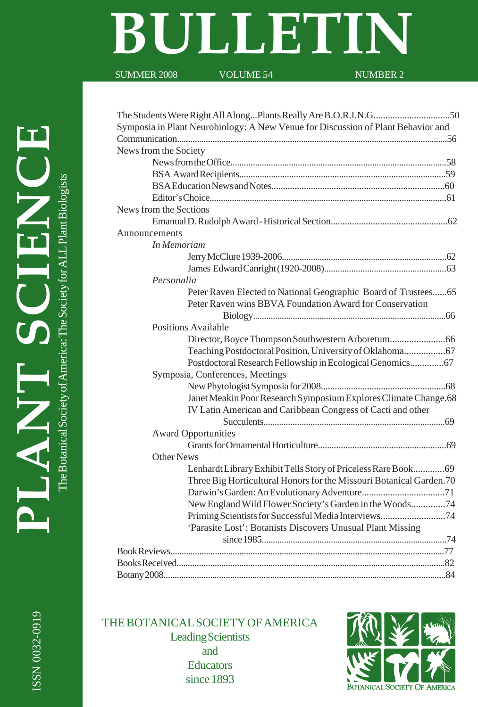# **BULLETIN**

SUMMER 2008 VOLUME 54 NUMBER 2

ISSN 0032-0919

ISSN 0032-0919

| Symposia in Plant Neurobiology: A New Venue for Discussion of Plant Behavior and |
|----------------------------------------------------------------------------------|
|                                                                                  |
| News from the Society                                                            |
|                                                                                  |
|                                                                                  |
|                                                                                  |
|                                                                                  |
| News from the Sections                                                           |
|                                                                                  |
| Announcements                                                                    |
| In Memoriam                                                                      |
|                                                                                  |
|                                                                                  |
| Personalia                                                                       |
| Peter Raven Elected to National Geographic Board of Trustees65                   |
| Peter Raven wins BBVA Foundation Award for Conservation                          |
|                                                                                  |
| Positions Available                                                              |
|                                                                                  |
|                                                                                  |
| Postdoctoral Research Fellowship in Ecological Genomics 67                       |
| Symposia, Conferences, Meetings                                                  |
|                                                                                  |
| Janet Meakin Poor Research Symposium Explores Climate Change.68                  |
| IV Latin American and Caribbean Congress of Cacti and other                      |
|                                                                                  |
| <b>Award Opportunities</b>                                                       |
|                                                                                  |
| Other News                                                                       |
| Lenhardt Library Exhibit Tells Story of Priceless Rare Book 69                   |
| Three Big Horticultural Honors for the Missouri Botanical Garden.70              |
|                                                                                  |
| New England Wild Flower Society's Garden in the Woods74                          |
| Priming Scientists for Successful Media Interviews74                             |
| 'Parasite Lost': Botanists Discovers Unusual Plant Missing                       |
|                                                                                  |
|                                                                                  |
|                                                                                  |
|                                                                                  |
|                                                                                  |

THE BOTANICAL SOCIETY OF AMERICA Leading Scientists and **Educators** since 1893

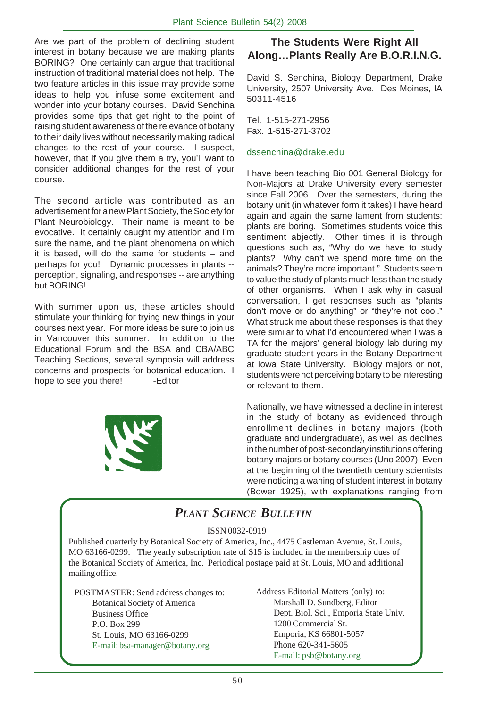Are we part of the problem of declining student interest in botany because we are making plants BORING? One certainly can argue that traditional instruction of traditional material does not help. The two feature articles in this issue may provide some ideas to help you infuse some excitement and wonder into your botany courses. David Senchina provides some tips that get right to the point of raising student awareness of the relevance of botany to their daily lives without necessarily making radical changes to the rest of your course. I suspect, however, that if you give them a try, you'll want to consider additional changes for the rest of your course.

The second article was contributed as an advertisement for a new Plant Society, the Society for Plant Neurobiology. Their name is meant to be evocative. It certainly caught my attention and I'm sure the name, and the plant phenomena on which it is based, will do the same for students – and perhaps for you! Dynamic processes in plants - perception, signaling, and responses -- are anything but BORING!

With summer upon us, these articles should stimulate your thinking for trying new things in your courses next year. For more ideas be sure to join us in Vancouver this summer. In addition to the Educational Forum and the BSA and CBA/ABC Teaching Sections, several symposia will address concerns and prospects for botanical education. I hope to see you there! -Editor



#### **The Students Were Right All Along…Plants Really Are B.O.R.I.N.G.**

David S. Senchina, Biology Department, Drake University, 2507 University Ave. Des Moines, IA 50311-4516

Tel. 1-515-271-2956 Fax. 1-515-271-3702

#### dssenchina@drake.edu

I have been teaching Bio 001 General Biology for Non-Majors at Drake University every semester since Fall 2006. Over the semesters, during the botany unit (in whatever form it takes) I have heard again and again the same lament from students: plants are boring. Sometimes students voice this sentiment abjectly. Other times it is through questions such as, "Why do we have to study plants? Why can't we spend more time on the animals? They're more important." Students seem to value the study of plants much less than the study of other organisms. When I ask why in casual conversation, I get responses such as "plants don't move or do anything" or "they're not cool." What struck me about these responses is that they were similar to what I'd encountered when I was a TA for the majors' general biology lab during my graduate student years in the Botany Department at Iowa State University. Biology majors or not, students were not perceiving botany to be interesting or relevant to them.

Nationally, we have witnessed a decline in interest in the study of botany as evidenced through enrollment declines in botany majors (both graduate and undergraduate), as well as declines in the number of post-secondary institutions offering botany majors or botany courses (Uno 2007). Even at the beginning of the twentieth century scientists were noticing a waning of student interest in botany (Bower 1925), with explanations ranging from

# *PLANT SCIENCE BULLETIN*

ISSN 0032-0919

Published quarterly by Botanical Society of America, Inc., 4475 Castleman Avenue, St. Louis, MO 63166-0299. The yearly subscription rate of \$15 is included in the membership dues of the Botanical Society of America, Inc. Periodical postage paid at St. Louis, MO and additional mailing office.

POSTMASTER: Send address changes to: Botanical Society of America Business Office P.O. Box 299 St. Louis, MO 63166-0299 E-mail: bsa-manager@botany.org

Address Editorial Matters (only) to: Marshall D. Sundberg, Editor Dept. Biol. Sci., Emporia State Univ. 1200 Commercial St. Emporia, KS 66801-5057 Phone 620-341-5605 E-mail: psb@botany.org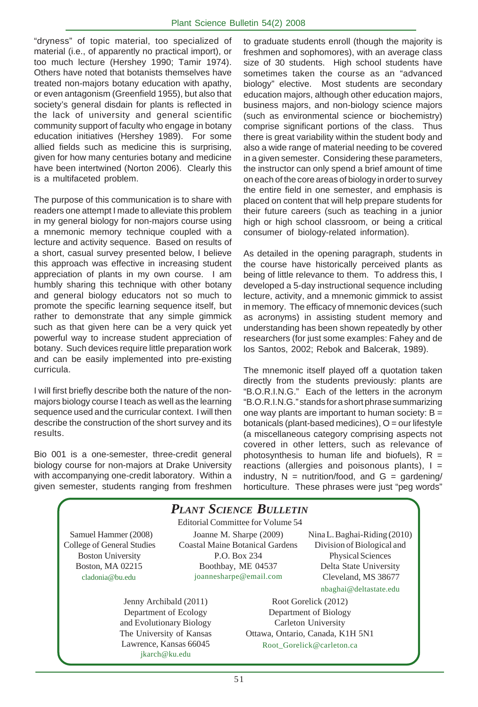"dryness" of topic material, too specialized of material (i.e., of apparently no practical import), or too much lecture (Hershey 1990; Tamir 1974). Others have noted that botanists themselves have treated non-majors botany education with apathy, or even antagonism (Greenfield 1955), but also that society's general disdain for plants is reflected in the lack of university and general scientific community support of faculty who engage in botany education initiatives (Hershey 1989). For some allied fields such as medicine this is surprising, given for how many centuries botany and medicine have been intertwined (Norton 2006). Clearly this is a multifaceted problem.

The purpose of this communication is to share with readers one attempt I made to alleviate this problem in my general biology for non-majors course using a mnemonic memory technique coupled with a lecture and activity sequence. Based on results of a short, casual survey presented below, I believe this approach was effective in increasing student appreciation of plants in my own course. I am humbly sharing this technique with other botany and general biology educators not so much to promote the specific learning sequence itself, but rather to demonstrate that any simple gimmick such as that given here can be a very quick yet powerful way to increase student appreciation of botany. Such devices require little preparation work and can be easily implemented into pre-existing curricula.

I will first briefly describe both the nature of the nonmajors biology course I teach as well as the learning sequence used and the curricular context. I will then describe the construction of the short survey and its results.

Bio 001 is a one-semester, three-credit general biology course for non-majors at Drake University with accompanying one-credit laboratory. Within a given semester, students ranging from freshmen to graduate students enroll (though the majority is freshmen and sophomores), with an average class size of 30 students. High school students have sometimes taken the course as an "advanced biology" elective. Most students are secondary education majors, although other education majors, business majors, and non-biology science majors (such as environmental science or biochemistry) comprise significant portions of the class. Thus there is great variability within the student body and also a wide range of material needing to be covered in a given semester. Considering these parameters, the instructor can only spend a brief amount of time on each of the core areas of biology in order to survey the entire field in one semester, and emphasis is placed on content that will help prepare students for their future careers (such as teaching in a junior high or high school classroom, or being a critical consumer of biology-related information).

As detailed in the opening paragraph, students in the course have historically perceived plants as being of little relevance to them. To address this, I developed a 5-day instructional sequence including lecture, activity, and a mnemonic gimmick to assist in memory. The efficacy of mnemonic devices (such as acronyms) in assisting student memory and understanding has been shown repeatedly by other researchers (for just some examples: Fahey and de los Santos, 2002; Rebok and Balcerak, 1989).

The mnemonic itself played off a quotation taken directly from the students previously: plants are "B.O.R.I.N.G." Each of the letters in the acronym "B.O.R.I.N.G." stands for a short phrase summarizing one way plants are important to human society:  $B =$ botanicals (plant-based medicines),  $O =$  our lifestyle (a miscellaneous category comprising aspects not covered in other letters, such as relevance of photosynthesis to human life and biofuels),  $R =$ reactions (allergies and poisonous plants),  $I =$ industry,  $N =$  nutrition/food, and  $G =$  gardening/ horticulture. These phrases were just "peg words"

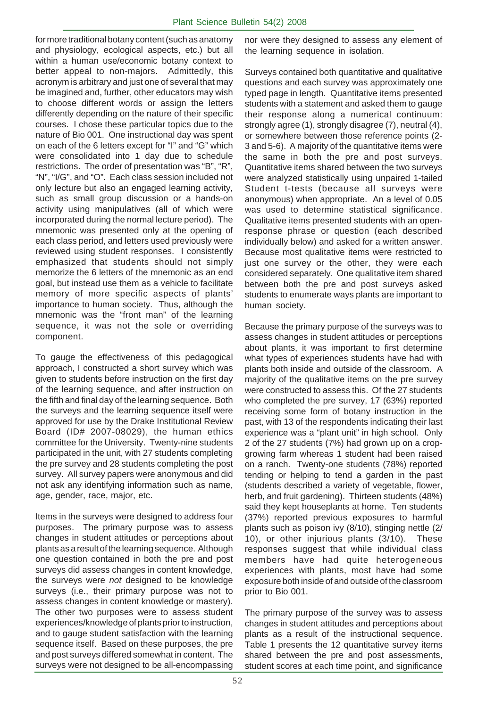for more traditional botany content (such as anatomy and physiology, ecological aspects, etc.) but all within a human use/economic botany context to better appeal to non-majors. Admittedly, this acronym is arbitrary and just one of several that may be imagined and, further, other educators may wish to choose different words or assign the letters differently depending on the nature of their specific courses. I chose these particular topics due to the nature of Bio 001. One instructional day was spent on each of the 6 letters except for "I" and "G" which were consolidated into 1 day due to schedule restrictions. The order of presentation was "B", "R", "N", "I/G", and "O". Each class session included not only lecture but also an engaged learning activity, such as small group discussion or a hands-on activity using manipulatives (all of which were incorporated during the normal lecture period). The mnemonic was presented only at the opening of each class period, and letters used previously were reviewed using student responses. I consistently emphasized that students should not simply memorize the 6 letters of the mnemonic as an end goal, but instead use them as a vehicle to facilitate memory of more specific aspects of plants' importance to human society. Thus, although the mnemonic was the "front man" of the learning sequence, it was not the sole or overriding component.

To gauge the effectiveness of this pedagogical approach, I constructed a short survey which was given to students before instruction on the first day of the learning sequence, and after instruction on the fifth and final day of the learning sequence. Both the surveys and the learning sequence itself were approved for use by the Drake Institutional Review Board (ID# 2007-08029), the human ethics committee for the University. Twenty-nine students participated in the unit, with 27 students completing the pre survey and 28 students completing the post survey. All survey papers were anonymous and did not ask any identifying information such as name, age, gender, race, major, etc.

Items in the surveys were designed to address four purposes. The primary purpose was to assess changes in student attitudes or perceptions about plants as a result of the learning sequence. Although one question contained in both the pre and post surveys did assess changes in content knowledge, the surveys were *not* designed to be knowledge surveys (i.e., their primary purpose was not to assess changes in content knowledge or mastery). The other two purposes were to assess student experiences/knowledge of plants prior to instruction, and to gauge student satisfaction with the learning sequence itself. Based on these purposes, the pre and post surveys differed somewhat in content. The surveys were not designed to be all-encompassing

nor were they designed to assess any element of the learning sequence in isolation.

Surveys contained both quantitative and qualitative questions and each survey was approximately one typed page in length. Quantitative items presented students with a statement and asked them to gauge their response along a numerical continuum: strongly agree (1), strongly disagree (7), neutral (4), or somewhere between those reference points (2- 3 and 5-6). A majority of the quantitative items were the same in both the pre and post surveys. Quantitative items shared between the two surveys were analyzed statistically using unpaired 1-tailed Student t-tests (because all surveys were anonymous) when appropriate. An a level of 0.05 was used to determine statistical significance. Qualitative items presented students with an openresponse phrase or question (each described individually below) and asked for a written answer. Because most qualitative items were restricted to just one survey or the other, they were each considered separately. One qualitative item shared between both the pre and post surveys asked students to enumerate ways plants are important to human society.

Because the primary purpose of the surveys was to assess changes in student attitudes or perceptions about plants, it was important to first determine what types of experiences students have had with plants both inside and outside of the classroom. A majority of the qualitative items on the pre survey were constructed to assess this. Of the 27 students who completed the pre survey, 17 (63%) reported receiving some form of botany instruction in the past, with 13 of the respondents indicating their last experience was a "plant unit" in high school. Only 2 of the 27 students (7%) had grown up on a cropgrowing farm whereas 1 student had been raised on a ranch. Twenty-one students (78%) reported tending or helping to tend a garden in the past (students described a variety of vegetable, flower, herb, and fruit gardening). Thirteen students (48%) said they kept houseplants at home. Ten students (37%) reported previous exposures to harmful plants such as poison ivy (8/10), stinging nettle (2/ 10), or other injurious plants (3/10). These responses suggest that while individual class members have had quite heterogeneous experiences with plants, most have had some exposure both inside of and outside of the classroom prior to Bio 001.

The primary purpose of the survey was to assess changes in student attitudes and perceptions about plants as a result of the instructional sequence. Table 1 presents the 12 quantitative survey items shared between the pre and post assessments, student scores at each time point, and significance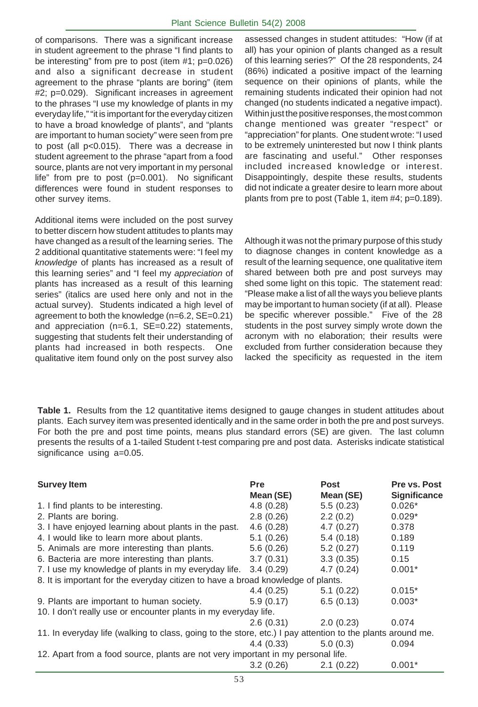of comparisons. There was a significant increase in student agreement to the phrase "I find plants to be interesting" from pre to post (item #1; p=0.026) and also a significant decrease in student agreement to the phrase "plants are boring" (item #2; p=0.029). Significant increases in agreement to the phrases "I use my knowledge of plants in my everyday life," "it is important for the everyday citizen to have a broad knowledge of plants", and "plants are important to human society" were seen from pre to post (all p<0.015). There was a decrease in student agreement to the phrase "apart from a food source, plants are not very important in my personal life" from pre to post (p=0.001). No significant differences were found in student responses to other survey items.

Additional items were included on the post survey to better discern how student attitudes to plants may have changed as a result of the learning series. The 2 additional quantitative statements were: "I feel my *knowledge* of plants has increased as a result of this learning series" and "I feel my *appreciation* of plants has increased as a result of this learning series" (italics are used here only and not in the actual survey). Students indicated a high level of agreement to both the knowledge (n=6.2, SE=0.21) and appreciation (n=6.1, SE=0.22) statements, suggesting that students felt their understanding of plants had increased in both respects. One qualitative item found only on the post survey also assessed changes in student attitudes: "How (if at all) has your opinion of plants changed as a result of this learning series?" Of the 28 respondents, 24 (86%) indicated a positive impact of the learning sequence on their opinions of plants, while the remaining students indicated their opinion had not changed (no students indicated a negative impact). Within just the positive responses, the most common change mentioned was greater "respect" or "appreciation" for plants. One student wrote: "I used to be extremely uninterested but now I think plants are fascinating and useful." Other responses included increased knowledge or interest. Disappointingly, despite these results, students did not indicate a greater desire to learn more about plants from pre to post (Table 1, item #4; p=0.189).

Although it was not the primary purpose of this study to diagnose changes in content knowledge as a result of the learning sequence, one qualitative item shared between both pre and post surveys may shed some light on this topic. The statement read: "Please make a list of all the ways you believe plants may be important to human society (if at all). Please be specific wherever possible." Five of the 28 students in the post survey simply wrote down the acronym with no elaboration; their results were excluded from further consideration because they lacked the specificity as requested in the item

**Table 1.** Results from the 12 quantitative items designed to gauge changes in student attitudes about plants. Each survey item was presented identically and in the same order in both the pre and post surveys. For both the pre and post time points, means plus standard errors (SE) are given. The last column presents the results of a 1-tailed Student t-test comparing pre and post data. Asterisks indicate statistical significance using a=0.05.

| <b>Survey Item</b>                                                                                         | Pre<br>Mean (SE) | <b>Post</b><br>Mean (SE) | Pre vs. Post<br>Significance |  |  |
|------------------------------------------------------------------------------------------------------------|------------------|--------------------------|------------------------------|--|--|
| 1. I find plants to be interesting.                                                                        | 4.8(0.28)        | 5.5(0.23)                | $0.026*$                     |  |  |
| 2. Plants are boring.                                                                                      | 2.8(0.26)        | 2.2(0.2)                 | $0.029*$                     |  |  |
| 3. I have enjoyed learning about plants in the past.                                                       | 4.6(0.28)        | 4.7(0.27)                | 0.378                        |  |  |
| 4. I would like to learn more about plants.                                                                | 5.1(0.26)        | 5.4(0.18)                | 0.189                        |  |  |
| 5. Animals are more interesting than plants.                                                               | 5.6(0.26)        | 5.2(0.27)                | 0.119                        |  |  |
| 6. Bacteria are more interesting than plants.                                                              | 3.7(0.31)        | 3.3(0.35)                | 0.15                         |  |  |
| 7. I use my knowledge of plants in my everyday life.                                                       | 3.4(0.29)        | 4.7(0.24)                | $0.001*$                     |  |  |
| 8. It is important for the everyday citizen to have a broad knowledge of plants.                           |                  |                          |                              |  |  |
|                                                                                                            | 4.4(0.25)        | 5.1(0.22)                | $0.015*$                     |  |  |
| 9. Plants are important to human society.                                                                  | 5.9(0.17)        | 6.5(0.13)                | $0.003*$                     |  |  |
| 10. I don't really use or encounter plants in my everyday life.                                            |                  |                          |                              |  |  |
|                                                                                                            | 2.6(0.31)        | 2.0(0.23)                | 0.074                        |  |  |
| 11. In everyday life (walking to class, going to the store, etc.) I pay attention to the plants around me. |                  |                          |                              |  |  |
|                                                                                                            | 4.4(0.33)        | 5.0(0.3)                 | 0.094                        |  |  |
| 12. Apart from a food source, plants are not very important in my personal life.                           |                  |                          |                              |  |  |
|                                                                                                            | 3.2(0.26)        | 2.1(0.22)                | $0.001*$                     |  |  |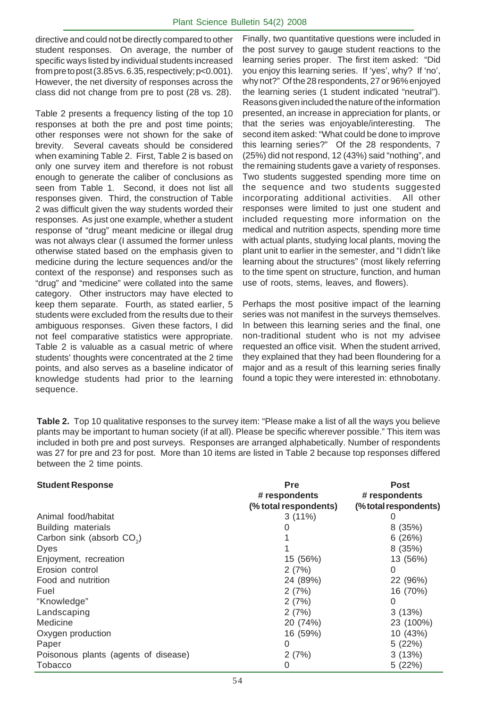directive and could not be directly compared to other student responses. On average, the number of specific ways listed by individual students increased from pre to post (3.85 vs. 6.35, respectively; p<0.001). However, the net diversity of responses across the class did not change from pre to post (28 vs. 28).

Table 2 presents a frequency listing of the top 10 responses at both the pre and post time points; other responses were not shown for the sake of brevity. Several caveats should be considered when examining Table 2. First, Table 2 is based on only one survey item and therefore is not robust enough to generate the caliber of conclusions as seen from Table 1. Second, it does not list all responses given. Third, the construction of Table 2 was difficult given the way students worded their responses. As just one example, whether a student response of "drug" meant medicine or illegal drug was not always clear (I assumed the former unless otherwise stated based on the emphasis given to medicine during the lecture sequences and/or the context of the response) and responses such as "drug" and "medicine" were collated into the same category. Other instructors may have elected to keep them separate. Fourth, as stated earlier, 5 students were excluded from the results due to their ambiguous responses. Given these factors, I did not feel comparative statistics were appropriate. Table 2 is valuable as a casual metric of where students' thoughts were concentrated at the 2 time points, and also serves as a baseline indicator of knowledge students had prior to the learning sequence.

Finally, two quantitative questions were included in the post survey to gauge student reactions to the learning series proper. The first item asked: "Did you enjoy this learning series. If 'yes', why? If 'no', why not?" Of the 28 respondents, 27 or 96% enjoyed the learning series (1 student indicated "neutral"). Reasons given included the nature of the information presented, an increase in appreciation for plants, or that the series was enjoyable/interesting. The second item asked: "What could be done to improve this learning series?" Of the 28 respondents, 7 (25%) did not respond, 12 (43%) said "nothing", and the remaining students gave a variety of responses. Two students suggested spending more time on the sequence and two students suggested incorporating additional activities. All other responses were limited to just one student and included requesting more information on the medical and nutrition aspects, spending more time with actual plants, studying local plants, moving the plant unit to earlier in the semester, and "I didn't like learning about the structures" (most likely referring to the time spent on structure, function, and human use of roots, stems, leaves, and flowers).

Perhaps the most positive impact of the learning series was not manifest in the surveys themselves. In between this learning series and the final, one non-traditional student who is not my advisee requested an office visit. When the student arrived, they explained that they had been floundering for a major and as a result of this learning series finally found a topic they were interested in: ethnobotany.

**Table 2.** Top 10 qualitative responses to the survey item: "Please make a list of all the ways you believe plants may be important to human society (if at all). Please be specific wherever possible." This item was included in both pre and post surveys. Responses are arranged alphabetically. Number of respondents was 27 for pre and 23 for post. More than 10 items are listed in Table 2 because top responses differed between the 2 time points.

#### **Student Response Pre Post**

|                                       | # respondents         | # respondents         |
|---------------------------------------|-----------------------|-----------------------|
|                                       | (% total respondents) | (% total respondents) |
| Animal food/habitat                   | $3(11\%)$             |                       |
| Building materials                    |                       | 8(35%)                |
| Carbon sink (absorb CO <sub>2</sub> ) |                       | 6(26%)                |
| Dyes                                  |                       | 8(35%)                |
| Enjoyment, recreation                 | 15 (56%)              | 13 (56%)              |
| Erosion control                       | 2(7%)                 | 0                     |
| Food and nutrition                    | 24 (89%)              | 22 (96%)              |
| Fuel                                  | 2(7%)                 | 16 (70%)              |
| "Knowledge"                           | 2(7%)                 | 0                     |
| Landscaping                           | 2(7%)                 | 3(13%)                |
| Medicine                              | 20 (74%)              | 23 (100%)             |
| Oxygen production                     | 16 (59%)              | 10 (43%)              |
| Paper                                 | 0                     | 5(22%)                |
| Poisonous plants (agents of disease)  | 2(7%)                 | 3(13%)                |
| <b>Tobacco</b>                        | 0                     | 5(22%)                |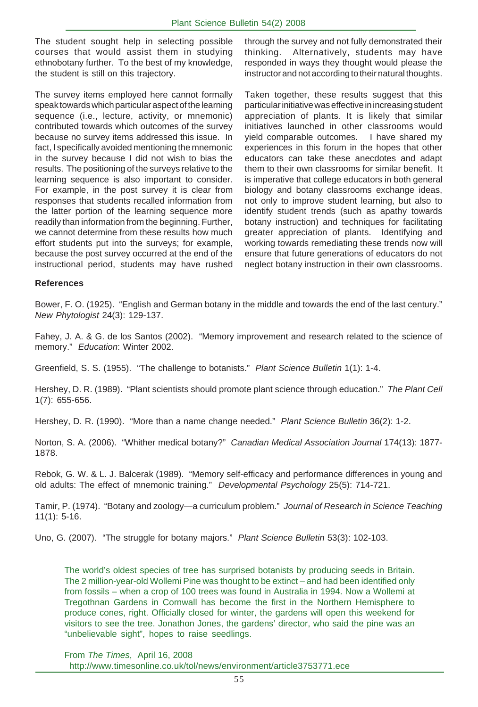The student sought help in selecting possible courses that would assist them in studying ethnobotany further. To the best of my knowledge, the student is still on this trajectory.

The survey items employed here cannot formally speak towards which particular aspect of the learning sequence (i.e., lecture, activity, or mnemonic) contributed towards which outcomes of the survey because no survey items addressed this issue. In fact, I specifically avoided mentioning the mnemonic in the survey because I did not wish to bias the results. The positioning of the surveys relative to the learning sequence is also important to consider. For example, in the post survey it is clear from responses that students recalled information from the latter portion of the learning sequence more readily than information from the beginning. Further, we cannot determine from these results how much effort students put into the surveys; for example, because the post survey occurred at the end of the instructional period, students may have rushed through the survey and not fully demonstrated their thinking. Alternatively, students may have responded in ways they thought would please the instructor and not according to their natural thoughts.

Taken together, these results suggest that this particular initiative was effective in increasing student appreciation of plants. It is likely that similar initiatives launched in other classrooms would yield comparable outcomes. I have shared my experiences in this forum in the hopes that other educators can take these anecdotes and adapt them to their own classrooms for similar benefit. It is imperative that college educators in both general biology and botany classrooms exchange ideas, not only to improve student learning, but also to identify student trends (such as apathy towards botany instruction) and techniques for facilitating greater appreciation of plants. Identifying and working towards remediating these trends now will ensure that future generations of educators do not neglect botany instruction in their own classrooms.

#### **References**

Bower, F. O. (1925). "English and German botany in the middle and towards the end of the last century." *New Phytologist* 24(3): 129-137.

Fahey, J. A. & G. de los Santos (2002). "Memory improvement and research related to the science of memory." *Education*: Winter 2002.

Greenfield, S. S. (1955). "The challenge to botanists." *Plant Science Bulletin* 1(1): 1-4.

Hershey, D. R. (1989). "Plant scientists should promote plant science through education." *The Plant Cell* 1(7): 655-656.

Hershey, D. R. (1990). "More than a name change needed." *Plant Science Bulletin* 36(2): 1-2.

Norton, S. A. (2006). "Whither medical botany?" *Canadian Medical Association Journal* 174(13): 1877- 1878.

Rebok, G. W. & L. J. Balcerak (1989). "Memory self-efficacy and performance differences in young and old adults: The effect of mnemonic training." *Developmental Psychology* 25(5): 714-721.

. Tamir, P. (1974). "Botany and zoology—a curriculum problem." *Journal of Research in Science Teaching* 11(1): 5-16.

Uno, G. (2007). "The struggle for botany majors." *Plant Science Bulletin* 53(3): 102-103.

The world's oldest species of tree has surprised botanists by producing seeds in Britain. The 2 million-year-old Wollemi Pine was thought to be extinct – and had been identified only from fossils – when a crop of 100 trees was found in Australia in 1994. Now a Wollemi at Tregothnan Gardens in Cornwall has become the first in the Northern Hemisphere to produce cones, right. Officially closed for winter, the gardens will open this weekend for visitors to see the tree. Jonathon Jones, the gardens' director, who said the pine was an "unbelievable sight", hopes to raise seedlings.

From *The Times*, April 16, 2008 http://www.timesonline.co.uk/tol/news/environment/article3753771.ece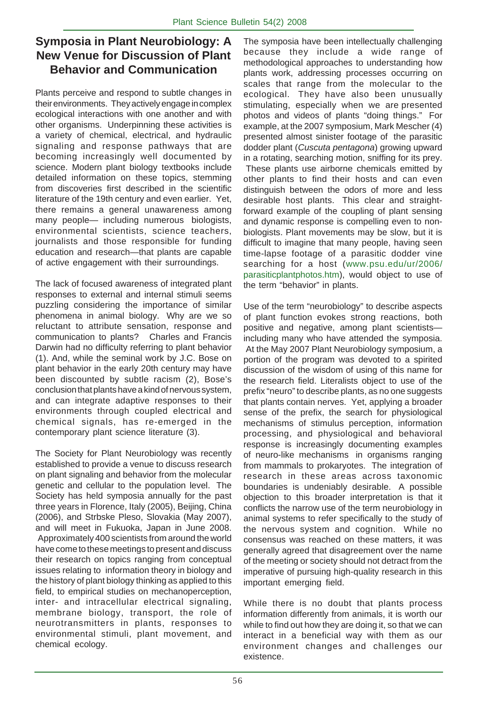# **Symposia in Plant Neurobiology: A New Venue for Discussion of Plant Behavior and Communication**

Plants perceive and respond to subtle changes in their environments. They actively engage in complex ecological interactions with one another and with other organisms. Underpinning these activities is a variety of chemical, electrical, and hydraulic signaling and response pathways that are becoming increasingly well documented by science. Modern plant biology textbooks include detailed information on these topics, stemming from discoveries first described in the scientific literature of the 19th century and even earlier. Yet, there remains a general unawareness among many people— including numerous biologists, environmental scientists, science teachers, journalists and those responsible for funding education and research—that plants are capable of active engagement with their surroundings.

The lack of focused awareness of integrated plant responses to external and internal stimuli seems puzzling considering the importance of similar phenomena in animal biology. Why are we so reluctant to attribute sensation, response and communication to plants? Charles and Francis Darwin had no difficulty referring to plant behavior (1). And, while the seminal work by J.C. Bose on plant behavior in the early 20th century may have been discounted by subtle racism (2), Bose's conclusion that plants have a kind of nervous system, and can integrate adaptive responses to their environments through coupled electrical and chemical signals, has re-emerged in the contemporary plant science literature (3).

The Society for Plant Neurobiology was recently established to provide a venue to discuss research on plant signaling and behavior from the molecular genetic and cellular to the population level. The Society has held symposia annually for the past three years in Florence, Italy (2005), Beijing, China (2006), and Strbske Pleso, Slovakia (May 2007), and will meet in Fukuoka, Japan in June 2008. Approximately 400 scientists from around the world have come to these meetings to present and discuss their research on topics ranging from conceptual issues relating to information theory in biology and the history of plant biology thinking as applied to this field, to empirical studies on mechanoperception, inter- and intracellular electrical signaling, membrane biology, transport, the role of neurotransmitters in plants, responses to environmental stimuli, plant movement, and chemical ecology.

The symposia have been intellectually challenging because they include a wide range of methodological approaches to understanding how plants work, addressing processes occurring on scales that range from the molecular to the ecological. They have also been unusually stimulating, especially when we are presented photos and videos of plants "doing things." For example, at the 2007 symposium, Mark Mescher (4) presented almost sinister footage of the parasitic dodder plant (*Cuscuta pentagona*) growing upward in a rotating, searching motion, sniffing for its prey. These plants use airborne chemicals emitted by other plants to find their hosts and can even distinguish between the odors of more and less desirable host plants. This clear and straightforward example of the coupling of plant sensing and dynamic response is compelling even to nonbiologists. Plant movements may be slow, but it is difficult to imagine that many people, having seen time-lapse footage of a parasitic dodder vine searching for a host (www.psu.edu/ur/2006/ parasiticplantphotos.htm), would object to use of the term "behavior" in plants.

Use of the term "neurobiology" to describe aspects of plant function evokes strong reactions, both positive and negative, among plant scientists including many who have attended the symposia. At the May 2007 Plant Neurobiology symposium, a portion of the program was devoted to a spirited discussion of the wisdom of using of this name for the research field. Literalists object to use of the prefix "neuro" to describe plants, as no one suggests that plants contain nerves. Yet, applying a broader sense of the prefix, the search for physiological mechanisms of stimulus perception, information processing, and physiological and behavioral response is increasingly documenting examples of neuro-like mechanisms in organisms ranging from mammals to prokaryotes. The integration of research in these areas across taxonomic boundaries is undeniably desirable. A possible objection to this broader interpretation is that it conflicts the narrow use of the term neurobiology in animal systems to refer specifically to the study of the nervous system and cognition. While no consensus was reached on these matters, it was generally agreed that disagreement over the name of the meeting or society should not detract from the imperative of pursuing high-quality research in this important emerging field.

While there is no doubt that plants process information differently from animals, it is worth our while to find out how they are doing it, so that we can interact in a beneficial way with them as our environment changes and challenges our existence.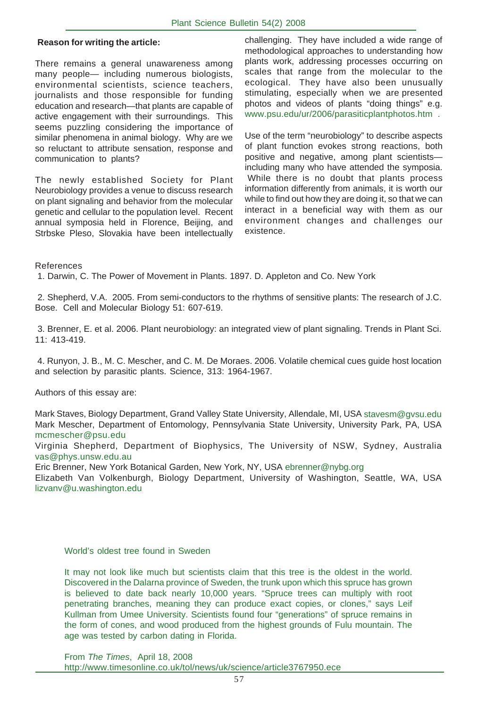#### **Reason for writing the article:**

There remains a general unawareness among many people— including numerous biologists, environmental scientists, science teachers, journalists and those responsible for funding education and research—that plants are capable of active engagement with their surroundings. This seems puzzling considering the importance of similar phenomena in animal biology. Why are we so reluctant to attribute sensation, response and communication to plants?

The newly established Society for Plant Neurobiology provides a venue to discuss research on plant signaling and behavior from the molecular genetic and cellular to the population level. Recent annual symposia held in Florence, Beijing, and Strbske Pleso, Slovakia have been intellectually challenging. They have included a wide range of methodological approaches to understanding how plants work, addressing processes occurring on scales that range from the molecular to the ecological. They have also been unusually stimulating, especially when we are presented photos and videos of plants "doing things" e.g. www.psu.edu/ur/2006/parasiticplantphotos.htm .

Use of the term "neurobiology" to describe aspects of plant function evokes strong reactions, both positive and negative, among plant scientists including many who have attended the symposia. While there is no doubt that plants process information differently from animals, it is worth our while to find out how they are doing it, so that we can interact in a beneficial way with them as our environment changes and challenges our existence.

#### References

1. Darwin, C. The Power of Movement in Plants. 1897. D. Appleton and Co. New York

 2. Shepherd, V.A. 2005. From semi-conductors to the rhythms of sensitive plants: The research of J.C. Bose. Cell and Molecular Biology 51: 607-619.

 3. Brenner, E. et al. 2006. Plant neurobiology: an integrated view of plant signaling. Trends in Plant Sci. 11: 413-419.

 4. Runyon, J. B., M. C. Mescher, and C. M. De Moraes. 2006. Volatile chemical cues guide host location and selection by parasitic plants. Science, 313: 1964-1967.

Authors of this essay are:

Mark Staves, Biology Department, Grand Valley State University, Allendale, MI, USA stavesm@gvsu.edu Mark Mescher, Department of Entomology, Pennsylvania State University, University Park, PA, USA mcmescher@psu.edu

Virginia Shepherd, Department of Biophysics, The University of NSW, Sydney, Australia vas@phys.unsw.edu.au

Eric Brenner, New York Botanical Garden, New York, NY, USA ebrenner@nybg.org

Elizabeth Van Volkenburgh, Biology Department, University of Washington, Seattle, WA, USA lizvanv@u.washington.edu

#### World's oldest tree found in Sweden

It may not look like much but scientists claim that this tree is the oldest in the world. Discovered in the Dalarna province of Sweden, the trunk upon which this spruce has grown is believed to date back nearly 10,000 years. "Spruce trees can multiply with root penetrating branches, meaning they can produce exact copies, or clones," says Leif Kullman from Umee University. Scientists found four "generations" of spruce remains in the form of cones, and wood produced from the highest grounds of Fulu mountain. The age was tested by carbon dating in Florida.

From *The Times*, April 18, 2008 http://www.timesonline.co.uk/tol/news/uk/science/article3767950.ece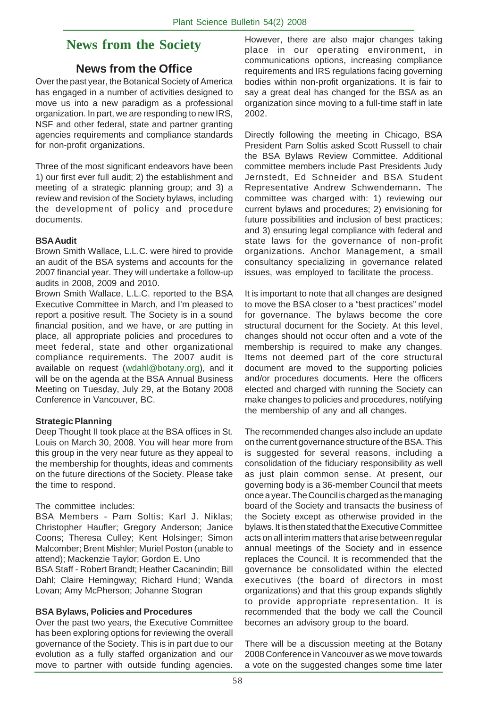# **News from the Society**

#### **News from the Office**

Over the past year, the Botanical Society of America has engaged in a number of activities designed to move us into a new paradigm as a professional organization. In part, we are responding to new IRS, NSF and other federal, state and partner granting agencies requirements and compliance standards for non-profit organizations.

Three of the most significant endeavors have been 1) our first ever full audit; 2) the establishment and meeting of a strategic planning group; and 3) a review and revision of the Society bylaws, including the development of policy and procedure documents.

#### **BSA Audit**

Brown Smith Wallace, L.L.C. were hired to provide an audit of the BSA systems and accounts for the 2007 financial year. They will undertake a follow-up audits in 2008, 2009 and 2010.

Brown Smith Wallace, L.L.C. reported to the BSA Executive Committee in March, and I'm pleased to report a positive result. The Society is in a sound financial position, and we have, or are putting in place, all appropriate policies and procedures to meet federal, state and other organizational compliance requirements. The 2007 audit is available on request (wdahl@botany.org), and it will be on the agenda at the BSA Annual Business Meeting on Tuesday, July 29, at the Botany 2008 Conference in Vancouver, BC.

#### **Strategic Planning**

Deep Thought II took place at the BSA offices in St. Louis on March 30, 2008. You will hear more from this group in the very near future as they appeal to the membership for thoughts, ideas and comments on the future directions of the Society. Please take the time to respond.

#### The committee includes:

BSA Members - Pam Soltis; Karl J. Niklas; Christopher Haufler; Gregory Anderson; Janice Coons; Theresa Culley; Kent Holsinger; Simon Malcomber; Brent Mishler; Muriel Poston (unable to attend); Mackenzie Taylor; Gordon E. Uno BSA Staff - Robert Brandt; Heather Cacanindin; Bill Dahl; Claire Hemingway; Richard Hund; Wanda

# Lovan; Amy McPherson; Johanne Stogran **BSA Bylaws, Policies and Procedures**

Over the past two years, the Executive Committee has been exploring options for reviewing the overall governance of the Society. This is in part due to our evolution as a fully staffed organization and our move to partner with outside funding agencies.

However, there are also major changes taking place in our operating environment, in communications options, increasing compliance requirements and IRS regulations facing governing bodies within non-profit organizations. It is fair to say a great deal has changed for the BSA as an organization since moving to a full-time staff in late 2002.

Directly following the meeting in Chicago, BSA President Pam Soltis asked Scott Russell to chair the BSA Bylaws Review Committee. Additional committee members include Past Presidents Judy Jernstedt, Ed Schneider and BSA Student Representative Andrew Schwendemann**.** The committee was charged with: 1) reviewing our current bylaws and procedures; 2) envisioning for future possibilities and inclusion of best practices; and 3) ensuring legal compliance with federal and state laws for the governance of non-profit organizations. Anchor Management, a small consultancy specializing in governance related issues, was employed to facilitate the process.

It is important to note that all changes are designed to move the BSA closer to a "best practices" model for governance. The bylaws become the core structural document for the Society. At this level, changes should not occur often and a vote of the membership is required to make any changes. Items not deemed part of the core structural document are moved to the supporting policies and/or procedures documents. Here the officers elected and charged with running the Society can make changes to policies and procedures, notifying the membership of any and all changes.

The recommended changes also include an update on the current governance structure of the BSA. This is suggested for several reasons, including a consolidation of the fiduciary responsibility as well as just plain common sense. At present, our governing body is a 36-member Council that meets once a year. The Council is charged as the managing board of the Society and transacts the business of the Society except as otherwise provided in the bylaws. It is then stated that the Executive Committee acts on all interim matters that arise between regular annual meetings of the Society and in essence replaces the Council. It is recommended that the governance be consolidated within the elected executives (the board of directors in most organizations) and that this group expands slightly to provide appropriate representation. It is recommended that the body we call the Council becomes an advisory group to the board.

There will be a discussion meeting at the Botany 2008 Conference in Vancouver as we move towards a vote on the suggested changes some time later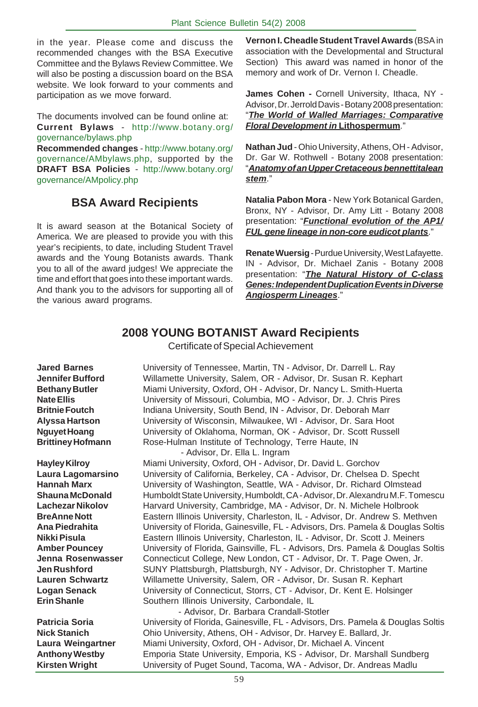in the year. Please come and discuss the recommended changes with the BSA Executive Committee and the Bylaws Review Committee. We will also be posting a discussion board on the BSA website. We look forward to your comments and participation as we move forward.

The documents involved can be found online at: **Current Bylaws** - http://www.botany.org/ governance/bylaws.php

**Recommended changes** - http://www.botany.org/ governance/AMbylaws.php, supported by the **DRAFT BSA Policies** - http://www.botany.org/ governance/AMpolicy.php

# **BSA Award Recipients**

It is award season at the Botanical Society of America. We are pleased to provide you with this year's recipients, to date, including Student Travel awards and the Young Botanists awards. Thank you to all of the award judges! We appreciate the time and effort that goes into these important wards. And thank you to the advisors for supporting all of the various award programs.

**Vernon I. Cheadle Student Travel Awards** (BSA in association with the Developmental and Structural Section) This award was named in honor of the memory and work of Dr. Vernon I. Cheadle.

**James Cohen -** Cornell University, Ithaca, NY - Advisor, Dr. Jerrold Davis - Botany 2008 presentation: "*The World of Walled Marriages: Comparative Floral Development in* **Lithospermum**."

**Nathan Jud** - Ohio University, Athens, OH - Advisor, Dr. Gar W. Rothwell - Botany 2008 presentation: "*Anatomy of an Upper Cretaceous bennettitalean stem*."

**Natalia Pabon Mora** - New York Botanical Garden, Bronx, NY - Advisor, Dr. Amy Litt - Botany 2008 presentation: "*Functional evolution of the AP1/ FUL gene lineage in non-core eudicot plants*."

**Renate Wuersig** - Purdue University, West Lafayette. IN - Advisor, Dr. Michael Zanis - Botany 2008 presentation: "*The Natural History of C-class Genes: Independent Duplication Events in Diverse Angiosperm Lineages*."

# **2008 YOUNG BOTANIST Award Recipients**

Certificate of Special Achievement

**Jared Barnes** University of Tennessee, Martin, TN - Advisor, Dr. Darrell L. Ray **Jennifer Bufford** Willamette University, Salem, OR - Advisor, Dr. Susan R. Kephart **Bethany Butler** Miami University, Oxford, OH - Advisor, Dr. Nancy L. Smith-Huerta **Nate Ellis** University of Missouri, Columbia, MO - Advisor, Dr. J. Chris Pires **Britnie Foutch** Indiana University, South Bend, IN - Advisor, Dr. Deborah Marr **Alyssa Hartson** University of Wisconsin, Milwaukee, WI - Advisor, Dr. Sara Hoot **Nguyet Hoang** University of Oklahoma, Norman, OK - Advisor, Dr. Scott Russell **Brittiney Hofmann** Rose-Hulman Institute of Technology, Terre Haute, IN

 - Advisor, Dr. Ella L. Ingram **Hayley Kilroy** Miami University, Oxford, OH - Advisor, Dr. David L. Gorchov **Laura Lagomarsino** University of California, Berkeley, CA - Advisor, Dr. Chelsea D. Specht **Hannah Marx** University of Washington, Seattle, WA - Advisor, Dr. Richard Olmstead **Shauna McDonald** Humboldt State University, Humboldt, CA - Advisor, Dr. Alexandru M.F. Tomescu Lachezar Nikolov **Harvard University, Cambridge, MA - Advisor**, Dr. N. Michele Holbrook **BreAnne Nott Eastern Illinois University, Charleston, IL - Advisor, Dr. Andrew S. Methven Ana Piedrahita** University of Florida, Gainesville, FL - Advisors, Drs. Pamela & Douglas Soltis **Nikki Pisula** Eastern Illinois University, Charleston, IL - Advisor, Dr. Scott J. Meiners **Amber Pouncey** University of Florida, Gainsville, FL - Advisors, Drs. Pamela & Douglas Soltis **Jenna Rosenwasser** Connecticut College, New London, CT - Advisor, Dr. T. Page Owen, Jr. **Jen Rushford** SUNY Plattsburgh, Plattsburgh, NY - Advisor, Dr. Christopher T. Martine **Lauren Schwartz** Willamette University, Salem, OR - Advisor, Dr. Susan R. Kephart Logan Senack University of Connecticut, Storrs, CT - Advisor, Dr. Kent E. Holsinger **Erin Shanle Southern Illinois University, Carbondale, IL** 

- Advisor, Dr. Barbara Crandall-Stotler **Patricia Soria** University of Florida, Gainesville, FL - Advisors, Drs. Pamela & Douglas Soltis **Nick Stanich** Ohio University, Athens, OH - Advisor, Dr. Harvey E. Ballard, Jr. **Laura Weingartner** Miami University, Oxford, OH - Advisor, Dr. Michael A. Vincent **Anthony Westby** Emporia State University, Emporia, KS - Advisor, Dr. Marshall Sundberg **Kirsten Wright** University of Puget Sound, Tacoma, WA - Advisor, Dr. Andreas Madlu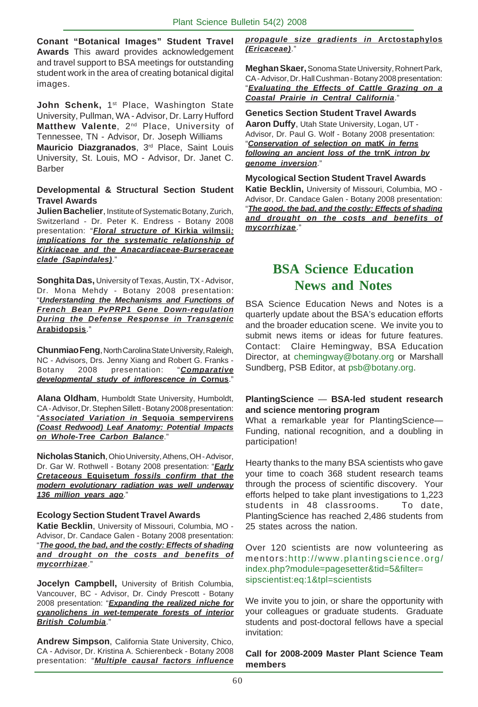**Conant "Botanical Images" Student Travel Awards** This award provides acknowledgement and travel support to BSA meetings for outstanding student work in the area of creating botanical digital images.

John Schenk, 1<sup>st</sup> Place, Washington State University, Pullman, WA - Advisor, Dr. Larry Hufford Matthew Valente, 2<sup>nd</sup> Place, University of Tennessee, TN - Advisor, Dr. Joseph Williams **Mauricio Diazgranados**, 3rd Place, Saint Louis University, St. Louis, MO - Advisor, Dr. Janet C. **Barber** 

#### **Developmental & Structural Section Student Travel Awards**

**Julien Bachelier**, Institute of Systematic Botany, Zurich, Switzerland - Dr. Peter K. Endress - Botany 2008 presentation: "*Floral structure of* **Kirkia wilmsii***: implications for the systematic relationship of Kirkiaceae and the Anacardiaceae-Burseraceae clade (Sapindales)*."

**Songhita Das,** University of Texas, Austin, TX - Advisor, Dr. Mona Mehdy - Botany 2008 presentation: "*Understanding the Mechanisms and Functions of French Bean PvPRP1 Gene Down-regulation During the Defense Response in Transgenic* **Arabidopsis**."

**Chunmiao Feng**, North Carolina State University, Raleigh, NC - Advisors, Drs. Jenny Xiang and Robert G. Franks - Botany 2008 presentation: "*Comparative developmental study of inflorescence in* **Cornus**."

**Alana Oldham**, Humboldt State University, Humboldt, CA - Advisor, Dr. Stephen Sillett - Botany 2008 presentation: "*Associated Variation in* **Sequoia sempervirens** *(Coast Redwood) Leaf Anatomy: Potential Impacts on Whole-Tree Carbon Balance*."

**Nicholas Stanich**, Ohio University, Athens, OH - Advisor, Dr. Gar W. Rothwell - Botany 2008 presentation: "*Early Cretaceous* **Equisetum** *fossils confirm that the modern evolutionary radiation was well underway 136 million years ago*."

#### **Ecology Section Student Travel Awards**

**Katie Becklin**, University of Missouri, Columbia, MO - Advisor, Dr. Candace Galen - Botany 2008 presentation: "*The good, the bad, and the costly: Effects of shading and drought on the costs and benefits of mycorrhizae*."

**Jocelyn Campbell,** University of British Columbia, Vancouver, BC - Advisor, Dr. Cindy Prescott - Botany 2008 presentation: "*Expanding the realized niche for cyanolichens in wet-temperate forests of interior British Columbia*."

**Andrew Simpson**, California State University, Chico, CA - Advisor, Dr. Kristina A. Schierenbeck - Botany 2008 presentation: "*Multiple causal factors influence*

#### *propagule size gradients in* **Arctostaphylos** *(Ericaceae)*."

**Meghan Skaer,**Sonoma State University, Rohnert Park, CA - Advisor, Dr. Hall Cushman - Botany 2008 presentation: "*Evaluating the Effects of Cattle Grazing on a Coastal Prairie in Central California*."

**Genetics Section Student Travel Awards Aaron Duffy**, Utah State University, Logan, UT - Advisor, Dr. Paul G. Wolf - Botany 2008 presentation: "*Conservation of selection on* **matK** *in ferns*

*following an ancient loss of the* **trnK** *intron by genome inversion*."

**Mycological Section Student Travel Awards Katie Becklin,** University of Missouri, Columbia, MO - Advisor, Dr. Candace Galen - Botany 2008 presentation: "*The good, the bad, and the costly: Effects of shading and drought on the costs and benefits of mycorrhizae*."

# **BSA Science Education News and Notes**

BSA Science Education News and Notes is a quarterly update about the BSA's education efforts and the broader education scene. We invite you to submit news items or ideas for future features. Contact: Claire Hemingway, BSA Education Director, at chemingway@botany.org or Marshall Sundberg, PSB Editor, at psb@botany.org.

#### **PlantingScience** — **BSA-led student research and science mentoring program**

What a remarkable year for PlantingScience*—* Funding, national recognition, and a doubling in participation!

Hearty thanks to the many BSA scientists who gave your time to coach 368 student research teams through the process of scientific discovery. Your efforts helped to take plant investigations to 1,223 students in 48 classrooms. To date, PlantingScience has reached 2,486 students from 25 states across the nation.

Over 120 scientists are now volunteering as mentors:http://www.plantingscience.org/ index.php?module=pagesetter&tid=5&filter= sipscientist:eq:1&tpl=scientists

We invite you to join, or share the opportunity with your colleagues or graduate students. Graduate students and post-doctoral fellows have a special invitation:

#### **Call for 2008-2009 Master Plant Science Team members**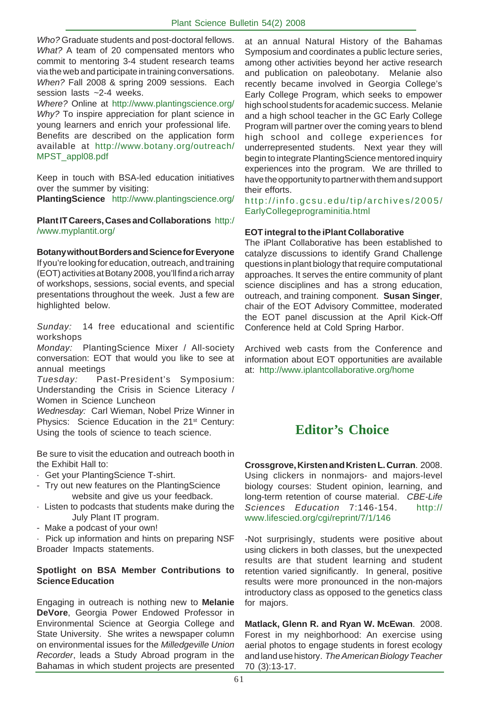*Who?* Graduate students and post-doctoral fellows. *What?* A team of 20 compensated mentors who commit to mentoring 3-4 student research teams via the web and participate in training conversations. *When?* Fall 2008 & spring 2009 sessions. Each session lasts ~2-4 weeks.

*Where?* Online at http://www.plantingscience.org/ *Why?* To inspire appreciation for plant science in young learners and enrich your professional life. Benefits are described on the application form available at http://www.botany.org/outreach/ MPST\_appl08.pdf

Keep in touch with BSA-led education initiatives over the summer by visiting:

**PlantingScience** http://www.plantingscience.org/

**Plant IT Careers, Cases and Collaborations** http:/ /www.myplantit.org/

**Botany without Borders and Science for Everyone** If you're looking for education, outreach, and training (EOT) activities at Botany 2008, you'll find a rich array of workshops, sessions, social events, and special presentations throughout the week. Just a few are highlighted below.

*Sunday:* 14 free educational and scientific workshops

*Monday:* PlantingScience Mixer / All-society conversation: EOT that would you like to see at annual meetings

*Tuesday:* Past-President's Symposium: Understanding the Crisis in Science Literacy / Women in Science Luncheon

*Wednesday:* Carl Wieman, Nobel Prize Winner in Physics: Science Education in the 21<sup>st</sup> Century: Using the tools of science to teach science.

Be sure to visit the education and outreach booth in the Exhibit Hall to:

- Get your PlantingScience T-shirt.
- Try out new features on the PlantingScience website and give us your feedback.
- · Listen to podcasts that students make during the July Plant IT program.
- Make a podcast of your own!

· Pick up information and hints on preparing NSF Broader Impacts statements.

#### **Spotlight on BSA Member Contributions to Science Education**

Engaging in outreach is nothing new to **Melanie DeVore**, Georgia Power Endowed Professor in Environmental Science at Georgia College and State University. She writes a newspaper column on environmental issues for the *Milledgeville Union Recorder*, leads a Study Abroad program in the Bahamas in which student projects are presented

at an annual Natural History of the Bahamas Symposium and coordinates a public lecture series, among other activities beyond her active research and publication on paleobotany. Melanie also recently became involved in Georgia College's Early College Program, which seeks to empower high school students for academic success. Melanie and a high school teacher in the GC Early College Program will partner over the coming years to blend high school and college experiences for underrepresented students. Next year they will begin to integrate PlantingScience mentored inquiry experiences into the program. We are thrilled to have the opportunity to partner with them and support their efforts.

http://info.gcsu.edu/tip/archives/2005/ EarlyCollegeprograminitia.html

#### **EOT integral to the iPlant Collaborative**

The iPlant Collaborative has been established to catalyze discussions to identify Grand Challenge questions in plant biology that require computational approaches. It serves the entire community of plant science disciplines and has a strong education, outreach, and training component. **Susan Singer**, chair of the EOT Advisory Committee, moderated the EOT panel discussion at the April Kick-Off Conference held at Cold Spring Harbor.

Archived web casts from the Conference and information about EOT opportunities are available at: http://www.iplantcollaborative.org/home

# **Editor's Choice**

**Crossgrove, Kirsten and Kristen L. Curran**. 2008. Using clickers in nonmajors- and majors-level biology courses: Student opinion, learning, and long-term retention of course material. *CBE-Life Sciences Education* 7:146-154. http:// www.lifescied.org/cgi/reprint/7/1/146

-Not surprisingly, students were positive about using clickers in both classes, but the unexpected results are that student learning and student retention varied significantly. In general, positive results were more pronounced in the non-majors introductory class as opposed to the genetics class for majors.

**Matlack, Glenn R. and Ryan W. McEwan**. 2008. Forest in my neighborhood: An exercise using aerial photos to engage students in forest ecology and land use history. *The American Biology Teacher* 70 (3):13-17.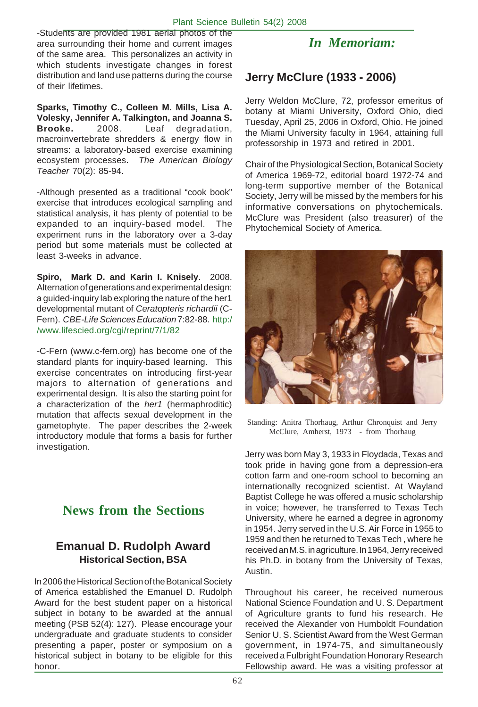-Students are provided 1981 aerial photos of the area surrounding their home and current images of the same area. This personalizes an activity in which students investigate changes in forest distribution and land use patterns during the course of their lifetimes.

**Sparks, Timothy C., Colleen M. Mills, Lisa A. Volesky, Jennifer A. Talkington, and Joanna S. Brooke.** 2008. Leaf degradation, macroinvertebrate shredders & energy flow in streams: a laboratory-based exercise examining ecosystem processes. *The American Biology Teacher* 70(2): 85-94.

-Although presented as a traditional "cook book" exercise that introduces ecological sampling and statistical analysis, it has plenty of potential to be expanded to an inquiry-based model. The experiment runs in the laboratory over a 3-day period but some materials must be collected at least 3-weeks in advance.

**Spiro, Mark D. and Karin I. Knisely**. 2008. Alternation of generations and experimental design: a guided-inquiry lab exploring the nature of the her1 developmental mutant of *Ceratopteris richardii* (C-Fern). *CBE-Life Sciences Education* 7:82-88. http:/ /www.lifescied.org/cgi/reprint/7/1/82

-C-Fern (www.c-fern.org) has become one of the standard plants for inquiry-based learning. This exercise concentrates on introducing first-year majors to alternation of generations and experimental design. It is also the starting point for a characterization of the *her1* (hermaphroditic) mutation that affects sexual development in the gametophyte. The paper describes the 2-week introductory module that forms a basis for further investigation.

# **News from the Sections**

# **Emanual D. Rudolph Award Historical Section, BSA**

In 2006 the Historical Section of the Botanical Society of America established the Emanuel D. Rudolph Award for the best student paper on a historical subject in botany to be awarded at the annual meeting (PSB 52(4): 127). Please encourage your undergraduate and graduate students to consider presenting a paper, poster or symposium on a historical subject in botany to be eligible for this honor.

# *In Memoriam:*

# **Jerry McClure (1933 - 2006)**

Jerry Weldon McClure, 72, professor emeritus of botany at Miami University, Oxford Ohio, died Tuesday, April 25, 2006 in Oxford, Ohio. He joined the Miami University faculty in 1964, attaining full professorship in 1973 and retired in 2001.

Chair of the Physiological Section, Botanical Society of America 1969-72, editorial board 1972-74 and long-term supportive member of the Botanical Society, Jerry will be missed by the members for his informative conversations on phytochemicals. McClure was President (also treasurer) of the Phytochemical Society of America.



Standing: Anitra Thorhaug, Arthur Chronquist and Jerry McClure, Amherst, 1973 - from Thorhaug

Jerry was born May 3, 1933 in Floydada, Texas and took pride in having gone from a depression-era cotton farm and one-room school to becoming an internationally recognized scientist. At Wayland Baptist College he was offered a music scholarship in voice; however, he transferred to Texas Tech University, where he earned a degree in agronomy in 1954. Jerry served in the U.S. Air Force in 1955 to 1959 and then he returned to Texas Tech , where he received an M.S. in agriculture. In 1964, Jerry received his Ph.D. in botany from the University of Texas, Austin.

Throughout his career, he received numerous National Science Foundation and U. S. Department of Agriculture grants to fund his research. He received the Alexander von Humboldt Foundation Senior U. S. Scientist Award from the West German government, in 1974-75, and simultaneously received a Fulbright Foundation Honorary Research Fellowship award. He was a visiting professor at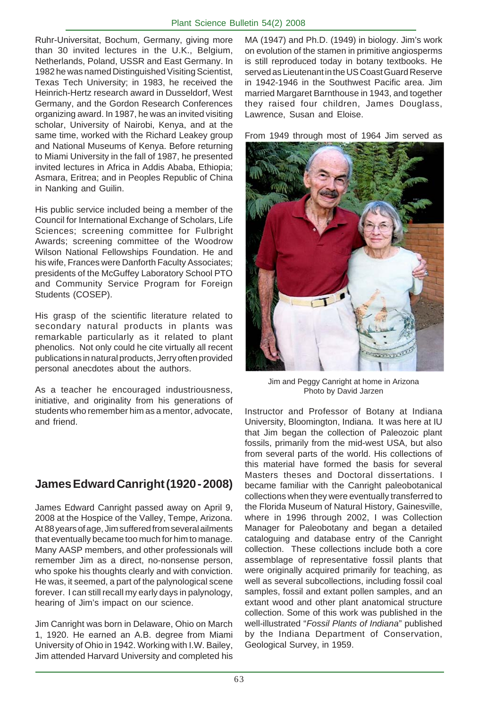Ruhr-Universitat, Bochum, Germany, giving more than 30 invited lectures in the U.K., Belgium, Netherlands, Poland, USSR and East Germany. In 1982 he was named Distinguished Visiting Scientist, Texas Tech University; in 1983, he received the Heinrich-Hertz research award in Dusseldorf, West Germany, and the Gordon Research Conferences organizing award. In 1987, he was an invited visiting scholar, University of Nairobi, Kenya, and at the same time, worked with the Richard Leakey group and National Museums of Kenya. Before returning to Miami University in the fall of 1987, he presented invited lectures in Africa in Addis Ababa, Ethiopia; Asmara, Eritrea; and in Peoples Republic of China in Nanking and Guilin.

His public service included being a member of the Council for International Exchange of Scholars, Life Sciences; screening committee for Fulbright Awards; screening committee of the Woodrow Wilson National Fellowships Foundation. He and his wife, Frances were Danforth Faculty Associates; presidents of the McGuffey Laboratory School PTO and Community Service Program for Foreign Students (COSEP).

His grasp of the scientific literature related to secondary natural products in plants was remarkable particularly as it related to plant phenolics. Not only could he cite virtually all recent publications in natural products, Jerry often provided personal anecdotes about the authors.

As a teacher he encouraged industriousness, initiative, and originality from his generations of students who remember him as a mentor, advocate, and friend.

# **James Edward Canright (1920 - 2008)**

James Edward Canright passed away on April 9, 2008 at the Hospice of the Valley, Tempe, Arizona. At 88 years of age, Jim suffered from several ailments that eventually became too much for him to manage. Many AASP members, and other professionals will remember Jim as a direct, no-nonsense person, who spoke his thoughts clearly and with conviction. He was, it seemed, a part of the palynological scene forever. I can still recall my early days in palynology, hearing of Jim's impact on our science.

Jim Canright was born in Delaware, Ohio on March 1, 1920. He earned an A.B. degree from Miami University of Ohio in 1942. Working with I.W. Bailey, Jim attended Harvard University and completed his

MA (1947) and Ph.D. (1949) in biology. Jim's work on evolution of the stamen in primitive angiosperms is still reproduced today in botany textbooks. He served as Lieutenant in the US Coast Guard Reserve in 1942-1946 in the Southwest Pacific area. Jim married Margaret Barnthouse in 1943, and together they raised four children, James Douglass, Lawrence, Susan and Eloise.

From 1949 through most of 1964 Jim served as



Jim and Peggy Canright at home in Arizona Photo by David Jarzen

Instructor and Professor of Botany at Indiana University, Bloomington, Indiana. It was here at IU that Jim began the collection of Paleozoic plant fossils, primarily from the mid-west USA, but also from several parts of the world. His collections of this material have formed the basis for several Masters theses and Doctoral dissertations. I became familiar with the Canright paleobotanical collections when they were eventually transferred to the Florida Museum of Natural History, Gainesville, where in 1996 through 2002, I was Collection Manager for Paleobotany and began a detailed cataloguing and database entry of the Canright collection. These collections include both a core assemblage of representative fossil plants that were originally acquired primarily for teaching, as well as several subcollections, including fossil coal samples, fossil and extant pollen samples, and an extant wood and other plant anatomical structure collection. Some of this work was published in the well-illustrated "*Fossil Plants of Indiana*" published by the Indiana Department of Conservation, Geological Survey, in 1959.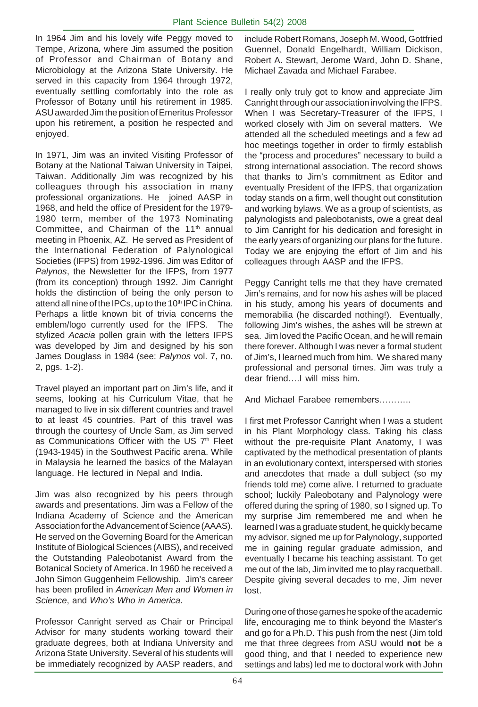In 1964 Jim and his lovely wife Peggy moved to Tempe, Arizona, where Jim assumed the position of Professor and Chairman of Botany and Microbiology at the Arizona State University. He served in this capacity from 1964 through 1972, eventually settling comfortably into the role as Professor of Botany until his retirement in 1985. ASU awarded Jim the position of Emeritus Professor upon his retirement, a position he respected and enjoyed.

In 1971, Jim was an invited Visiting Professor of Botany at the National Taiwan University in Taipei, Taiwan. Additionally Jim was recognized by his colleagues through his association in many professional organizations. He joined AASP in 1968, and held the office of President for the 1979- 1980 term, member of the 1973 Nominating Committee, and Chairman of the 11<sup>th</sup> annual meeting in Phoenix, AZ. He served as President of the International Federation of Palynological Societies (IFPS) from 1992-1996. Jim was Editor of *Palynos*, the Newsletter for the IFPS, from 1977 (from its conception) through 1992. Jim Canright holds the distinction of being the only person to attend all nine of the IPCs, up to the 10<sup>th</sup> IPC in China. Perhaps a little known bit of trivia concerns the emblem/logo currently used for the IFPS. The stylized *Acacia* pollen grain with the letters IFPS was developed by Jim and designed by his son James Douglass in 1984 (see: *Palynos* vol. 7, no. 2, pgs. 1-2).

Travel played an important part on Jim's life, and it seems, looking at his Curriculum Vitae, that he managed to live in six different countries and travel to at least 45 countries. Part of this travel was through the courtesy of Uncle Sam, as Jim served as Communications Officer with the US 7<sup>th</sup> Fleet (1943-1945) in the Southwest Pacific arena. While in Malaysia he learned the basics of the Malayan language. He lectured in Nepal and India.

Jim was also recognized by his peers through awards and presentations. Jim was a Fellow of the Indiana Academy of Science and the American Association for the Advancement of Science (AAAS). He served on the Governing Board for the American Institute of Biological Sciences (AIBS), and received the Outstanding Paleobotanist Award from the Botanical Society of America. In 1960 he received a John Simon Guggenheim Fellowship. Jim's career has been profiled in *American Men and Women in Science*, and *Who's Who in America*.

Professor Canright served as Chair or Principal Advisor for many students working toward their graduate degrees, both at Indiana University and Arizona State University. Several of his students will be immediately recognized by AASP readers, and

include Robert Romans, Joseph M. Wood, Gottfried Guennel, Donald Engelhardt, William Dickison, Robert A. Stewart, Jerome Ward, John D. Shane, Michael Zavada and Michael Farabee.

I really only truly got to know and appreciate Jim Canright through our association involving the IFPS. When I was Secretary-Treasurer of the IFPS, I worked closely with Jim on several matters. We attended all the scheduled meetings and a few ad hoc meetings together in order to firmly establish the "process and procedures" necessary to build a strong international association. The record shows that thanks to Jim's commitment as Editor and eventually President of the IFPS, that organization today stands on a firm, well thought out constitution and working bylaws. We as a group of scientists, as palynologists and paleobotanists, owe a great deal to Jim Canright for his dedication and foresight in the early years of organizing our plans for the future. Today we are enjoying the effort of Jim and his colleagues through AASP and the IFPS.

Peggy Canright tells me that they have cremated Jim's remains, and for now his ashes will be placed in his study, among his years of documents and memorabilia (he discarded nothing!). Eventually, following Jim's wishes, the ashes will be strewn at sea. Jim loved the Pacific Ocean, and he will remain there forever. Although I was never a formal student of Jim's, I learned much from him. We shared many professional and personal times. Jim was truly a dear friend….I will miss him.

And Michael Farabee remembers………..

I first met Professor Canright when I was a student in his Plant Morphology class. Taking his class without the pre-requisite Plant Anatomy, I was captivated by the methodical presentation of plants in an evolutionary context, interspersed with stories and anecdotes that made a dull subject (so my friends told me) come alive. I returned to graduate school; luckily Paleobotany and Palynology were offered during the spring of 1980, so I signed up. To my surprise Jim remembered me and when he learned I was a graduate student, he quickly became my advisor, signed me up for Palynology, supported me in gaining regular graduate admission, and eventually I became his teaching assistant. To get me out of the lab, Jim invited me to play racquetball. Despite giving several decades to me, Jim never lost.

During one of those games he spoke of the academic life, encouraging me to think beyond the Master's and go for a Ph.D. This push from the nest (Jim told me that three degrees from ASU would **not** be a good thing, and that I needed to experience new settings and labs) led me to doctoral work with John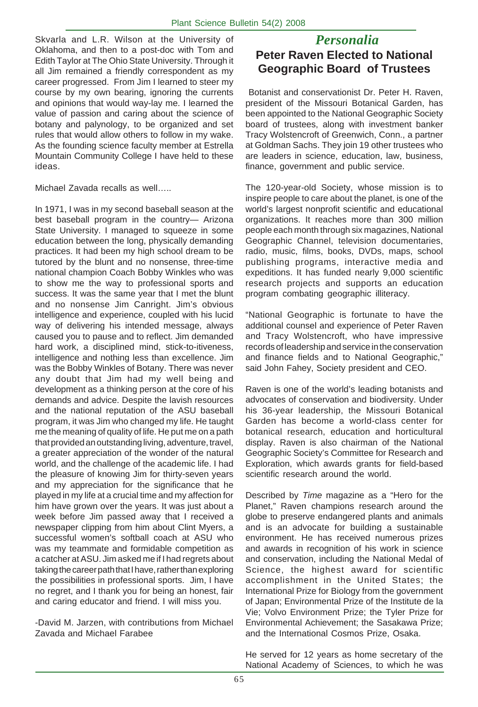Skvarla and L.R. Wilson at the University of *Personalia* Oklahoma, and then to a post-doc with Tom and Edith Taylor at The Ohio State University. Through it all Jim remained a friendly correspondent as my career progressed. From Jim I learned to steer my course by my own bearing, ignoring the currents and opinions that would way-lay me. I learned the value of passion and caring about the science of botany and palynology, to be organized and set rules that would allow others to follow in my wake. As the founding science faculty member at Estrella Mountain Community College I have held to these ideas.

Michael Zavada recalls as well…..

In 1971, I was in my second baseball season at the best baseball program in the country— Arizona State University. I managed to squeeze in some education between the long, physically demanding practices. It had been my high school dream to be tutored by the blunt and no nonsense, three-time national champion Coach Bobby Winkles who was to show me the way to professional sports and success. It was the same year that I met the blunt and no nonsense Jim Canright. Jim's obvious intelligence and experience, coupled with his lucid way of delivering his intended message, always caused you to pause and to reflect. Jim demanded hard work, a disciplined mind, stick-to-itiveness, intelligence and nothing less than excellence. Jim was the Bobby Winkles of Botany. There was never any doubt that Jim had my well being and development as a thinking person at the core of his demands and advice. Despite the lavish resources and the national reputation of the ASU baseball program, it was Jim who changed my life. He taught me the meaning of quality of life. He put me on a path that provided an outstanding living, adventure, travel, a greater appreciation of the wonder of the natural world, and the challenge of the academic life. I had the pleasure of knowing Jim for thirty-seven years and my appreciation for the significance that he played in my life at a crucial time and my affection for him have grown over the years. It was just about a week before Jim passed away that I received a newspaper clipping from him about Clint Myers, a successful women's softball coach at ASU who was my teammate and formidable competition as a catcher at ASU. Jim asked me if I had regrets about taking the career path that I have, rather than exploring the possibilities in professional sports. Jim, I have no regret, and I thank you for being an honest, fair and caring educator and friend. I will miss you.

-David M. Jarzen, with contributions from Michael Zavada and Michael Farabee

# **Peter Raven Elected to National Geographic Board of Trustees**

 Botanist and conservationist Dr. Peter H. Raven, president of the Missouri Botanical Garden, has been appointed to the National Geographic Society board of trustees, along with investment banker Tracy Wolstencroft of Greenwich, Conn., a partner at Goldman Sachs. They join 19 other trustees who are leaders in science, education, law, business, finance, government and public service.

The 120-year-old Society, whose mission is to inspire people to care about the planet, is one of the world's largest nonprofit scientific and educational organizations. It reaches more than 300 million people each month through six magazines, National Geographic Channel, television documentaries, radio, music, films, books, DVDs, maps, school publishing programs, interactive media and expeditions. It has funded nearly 9,000 scientific research projects and supports an education program combating geographic illiteracy.

"National Geographic is fortunate to have the additional counsel and experience of Peter Raven and Tracy Wolstencroft, who have impressive records of leadership and service in the conservation and finance fields and to National Geographic," said John Fahey, Society president and CEO.

Raven is one of the world's leading botanists and advocates of conservation and biodiversity. Under his 36-year leadership, the Missouri Botanical Garden has become a world-class center for botanical research, education and horticultural display. Raven is also chairman of the National Geographic Society's Committee for Research and Exploration, which awards grants for field-based scientific research around the world.

Described by *Time* magazine as a "Hero for the Planet," Raven champions research around the globe to preserve endangered plants and animals and is an advocate for building a sustainable environment. He has received numerous prizes and awards in recognition of his work in science and conservation, including the National Medal of Science, the highest award for scientific accomplishment in the United States; the International Prize for Biology from the government of Japan; Environmental Prize of the Institute de la Vie; Volvo Environment Prize; the Tyler Prize for Environmental Achievement; the Sasakawa Prize; and the International Cosmos Prize, Osaka.

He served for 12 years as home secretary of the National Academy of Sciences, to which he was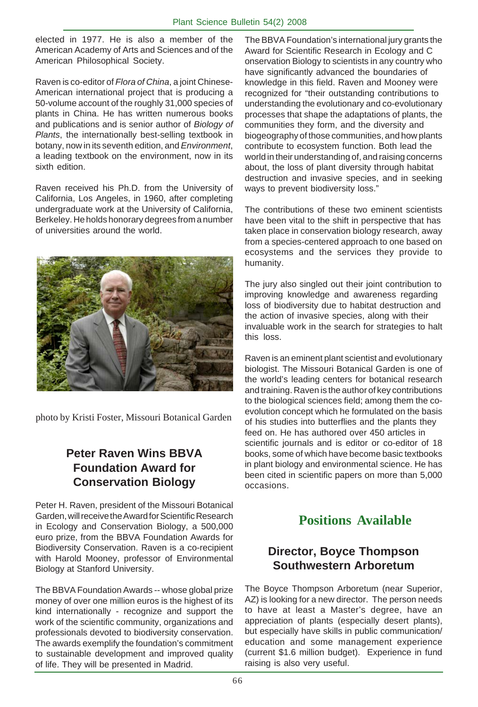elected in 1977. He is also a member of the American Academy of Arts and Sciences and of the American Philosophical Society.

Raven is co-editor of *Flora of China*, a joint Chinese-American international project that is producing a 50-volume account of the roughly 31,000 species of plants in China. He has written numerous books and publications and is senior author of *Biology of Plants*, the internationally best-selling textbook in botany, now in its seventh edition, and *Environment*, a leading textbook on the environment, now in its sixth edition.

Raven received his Ph.D. from the University of California, Los Angeles, in 1960, after completing undergraduate work at the University of California, Berkeley. He holds honorary degrees from a number of universities around the world.



photo by Kristi Foster, Missouri Botanical Garden

# **Peter Raven Wins BBVA Foundation Award for Conservation Biology**

Peter H. Raven, president of the Missouri Botanical Garden, will receive the Award for Scientific Research in Ecology and Conservation Biology, a 500,000 euro prize, from the BBVA Foundation Awards for Biodiversity Conservation. Raven is a co-recipient with Harold Mooney, professor of Environmental Biology at Stanford University.

The BBVA Foundation Awards -- whose global prize money of over one million euros is the highest of its kind internationally - recognize and support the work of the scientific community, organizations and professionals devoted to biodiversity conservation. The awards exemplify the foundation's commitment to sustainable development and improved quality of life. They will be presented in Madrid.

The BBVA Foundation's international jury grants the Award for Scientific Research in Ecology and C onservation Biology to scientists in any country who have significantly advanced the boundaries of knowledge in this field. Raven and Mooney were recognized for "their outstanding contributions to understanding the evolutionary and co-evolutionary processes that shape the adaptations of plants, the communities they form, and the diversity and biogeography of those communities, and how plants contribute to ecosystem function. Both lead the world in their understanding of, and raising concerns about, the loss of plant diversity through habitat destruction and invasive species, and in seeking ways to prevent biodiversity loss."

The contributions of these two eminent scientists have been vital to the shift in perspective that has taken place in conservation biology research, away from a species-centered approach to one based on ecosystems and the services they provide to humanity.

The jury also singled out their joint contribution to improving knowledge and awareness regarding loss of biodiversity due to habitat destruction and the action of invasive species, along with their invaluable work in the search for strategies to halt this loss.

Raven is an eminent plant scientist and evolutionary biologist. The Missouri Botanical Garden is one of the world's leading centers for botanical research and training. Raven is the author of key contributions to the biological sciences field; among them the coevolution concept which he formulated on the basis of his studies into butterflies and the plants they feed on. He has authored over 450 articles in scientific journals and is editor or co-editor of 18 books, some of which have become basic textbooks in plant biology and environmental science. He has been cited in scientific papers on more than 5,000 occasions.

# **Positions Available**

# **Director, Boyce Thompson Southwestern Arboretum**

The Boyce Thompson Arboretum (near Superior, AZ) is looking for a new director. The person needs to have at least a Master's degree, have an appreciation of plants (especially desert plants), but especially have skills in public communication/ education and some management experience (current \$1.6 million budget). Experience in fund raising is also very useful.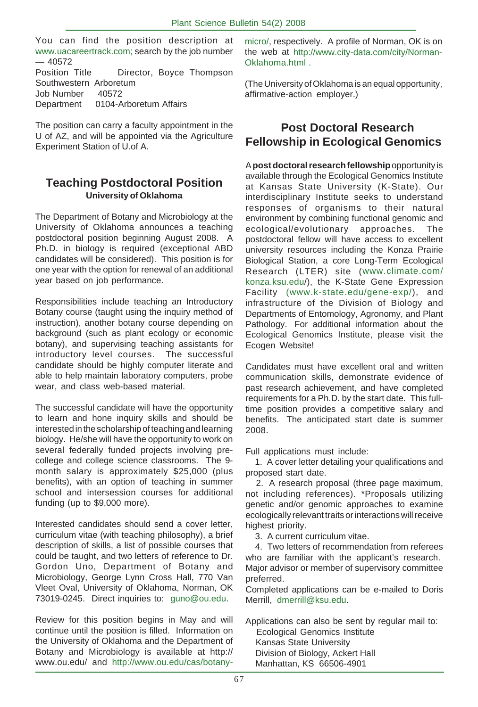You can find the position description at www.uacareertrack.com; search by the job number  $-40572$ Position Title Director, Boyce Thompson Southwestern Arboretum Job Number 40572 Department 0104-Arboretum Affairs

The position can carry a faculty appointment in the U of AZ, and will be appointed via the Agriculture Experiment Station of U.of A.

#### **Teaching Postdoctoral Position University of Oklahoma**

The Department of Botany and Microbiology at the University of Oklahoma announces a teaching postdoctoral position beginning August 2008. A Ph.D. in biology is required (exceptional ABD candidates will be considered). This position is for one year with the option for renewal of an additional year based on job performance.

Responsibilities include teaching an Introductory Botany course (taught using the inquiry method of instruction), another botany course depending on background (such as plant ecology or economic botany), and supervising teaching assistants for introductory level courses. The successful candidate should be highly computer literate and able to help maintain laboratory computers, probe wear, and class web-based material.

The successful candidate will have the opportunity to learn and hone inquiry skills and should be interested in the scholarship of teaching and learning biology. He/she will have the opportunity to work on several federally funded projects involving precollege and college science classrooms. The 9 month salary is approximately \$25,000 (plus benefits), with an option of teaching in summer school and intersession courses for additional funding (up to \$9,000 more).

Interested candidates should send a cover letter, curriculum vitae (with teaching philosophy), a brief description of skills, a list of possible courses that could be taught, and two letters of reference to Dr. Gordon Uno, Department of Botany and Microbiology, George Lynn Cross Hall, 770 Van Vleet Oval, University of Oklahoma, Norman, OK 73019-0245. Direct inquiries to: guno@ou.edu.

Review for this position begins in May and will continue until the position is filled. Information on the University of Oklahoma and the Department of Botany and Microbiology is available at http:// www.ou.edu/ and http://www.ou.edu/cas/botanymicro/, respectively. A profile of Norman, OK is on the web at http://www.city-data.com/city/Norman-Oklahoma.html .

(The University of Oklahoma is an equal opportunity, affirmative-action employer.)

# **Post Doctoral Research Fellowship in Ecological Genomics**

A **post doctoral research fellowship** opportunity is available through the Ecological Genomics Institute at Kansas State University (K-State). Our interdisciplinary Institute seeks to understand responses of organisms to their natural environment by combining functional genomic and ecological/evolutionary approaches. The postdoctoral fellow will have access to excellent university resources including the Konza Prairie Biological Station, a core Long-Term Ecological Research (LTER) site (www.climate.com/ konza.ksu.edu/), the K-State Gene Expression Facility (www.k-state.edu/gene-exp/), and infrastructure of the Division of Biology and Departments of Entomology, Agronomy, and Plant Pathology. For additional information about the Ecological Genomics Institute, please visit the Ecogen Website!

Candidates must have excellent oral and written communication skills, demonstrate evidence of past research achievement, and have completed requirements for a Ph.D. by the start date. This fulltime position provides a competitive salary and benefits. The anticipated start date is summer 2008.

Full applications must include:

 1. A cover letter detailing your qualifications and proposed start date.

 2. A research proposal (three page maximum, not including references). \*Proposals utilizing genetic and/or genomic approaches to examine ecologically relevant traits or interactions will receive highest priority.

3. A current curriculum vitae.

 4. Two letters of recommendation from referees who are familiar with the applicant's research. Major advisor or member of supervisory committee preferred.

Completed applications can be e-mailed to Doris Merrill, dmerrill@ksu.edu.

Applications can also be sent by regular mail to: Ecological Genomics Institute Kansas State University Division of Biology, Ackert Hall Manhattan, KS 66506-4901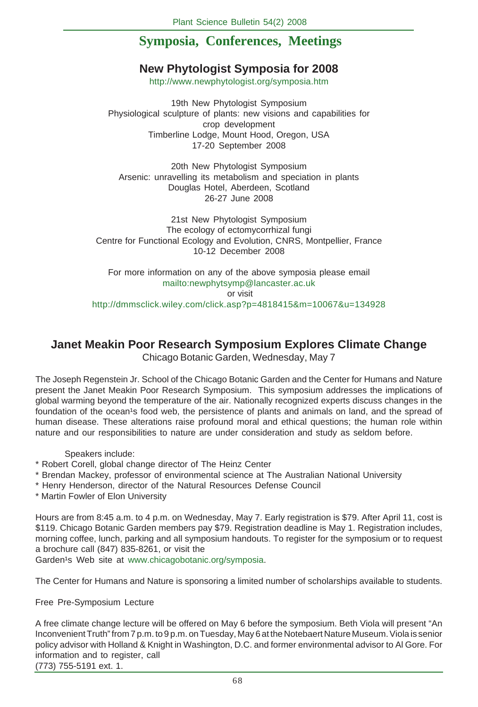# **Symposia, Conferences, Meetings**

# **New Phytologist Symposia for 2008**

http://www.newphytologist.org/symposia.htm

19th New Phytologist Symposium Physiological sculpture of plants: new visions and capabilities for crop development Timberline Lodge, Mount Hood, Oregon, USA 17-20 September 2008

20th New Phytologist Symposium Arsenic: unravelling its metabolism and speciation in plants Douglas Hotel, Aberdeen, Scotland 26-27 June 2008

21st New Phytologist Symposium The ecology of ectomycorrhizal fungi Centre for Functional Ecology and Evolution, CNRS, Montpellier, France 10-12 December 2008

For more information on any of the above symposia please email mailto:newphytsymp@lancaster.ac.uk or visit http://dmmsclick.wiley.com/click.asp?p=4818415&m=10067&u=134928

## **Janet Meakin Poor Research Symposium Explores Climate Change**

Chicago Botanic Garden, Wednesday, May 7

The Joseph Regenstein Jr. School of the Chicago Botanic Garden and the Center for Humans and Nature present the Janet Meakin Poor Research Symposium. This symposium addresses the implications of global warming beyond the temperature of the air. Nationally recognized experts discuss changes in the foundation of the ocean's food web, the persistence of plants and animals on land, and the spread of human disease. These alterations raise profound moral and ethical questions; the human role within nature and our responsibilities to nature are under consideration and study as seldom before.

Speakers include:

- \* Robert Corell, global change director of The Heinz Center
- \* Brendan Mackey, professor of environmental science at The Australian National University
- \* Henry Henderson, director of the Natural Resources Defense Council
- \* Martin Fowler of Elon University

Hours are from 8:45 a.m. to 4 p.m. on Wednesday, May 7. Early registration is \$79. After April 11, cost is \$119. Chicago Botanic Garden members pay \$79. Registration deadline is May 1. Registration includes, morning coffee, lunch, parking and all symposium handouts. To register for the symposium or to request a brochure call (847) 835-8261, or visit the

Garden<sup>1</sup>s Web site at www.chicagobotanic.org/symposia.

The Center for Humans and Nature is sponsoring a limited number of scholarships available to students.

Free Pre-Symposium Lecture

A free climate change lecture will be offered on May 6 before the symposium. Beth Viola will present "An Inconvenient Truth" from 7 p.m. to 9 p.m. on Tuesday, May 6 at the Notebaert Nature Museum. Viola is senior policy advisor with Holland & Knight in Washington, D.C. and former environmental advisor to Al Gore. For information and to register, call (773) 755-5191 ext. 1.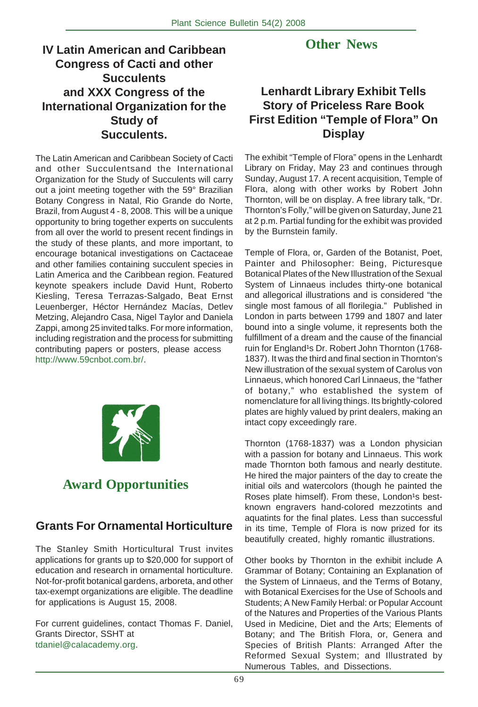# **IV Latin American and Caribbean Congress of Cacti and other Succulents and XXX Congress of the International Organization for the Study of Succulents.**

The Latin American and Caribbean Society of Cacti and other Succulentsand the International Organization for the Study of Succulents will carry out a joint meeting together with the 59° Brazilian Botany Congress in Natal, Rio Grande do Norte, Brazil, from August 4 - 8, 2008. This will be a unique opportunity to bring together experts on succulents from all over the world to present recent findings in the study of these plants, and more important, to encourage botanical investigations on Cactaceae and other families containing succulent species in Latin America and the Caribbean region. Featured keynote speakers include David Hunt, Roberto Kiesling, Teresa Terrazas-Salgado, Beat Ernst Leuenberger, Héctor Hernández Macías, Detlev Metzing, Alejandro Casa, Nigel Taylor and Daniela Zappi, among 25 invited talks. For more information, including registration and the process for submitting contributing papers or posters, please access http://www.59cnbot.com.br/.



# **Award Opportunities**

# **Grants For Ornamental Horticulture**

The Stanley Smith Horticultural Trust invites applications for grants up to \$20,000 for support of education and research in ornamental horticulture. Not-for-profit botanical gardens, arboreta, and other tax-exempt organizations are eligible. The deadline for applications is August 15, 2008.

For current guidelines, contact Thomas F. Daniel, Grants Director, SSHT at tdaniel@calacademy.org.

# **Other News**

# **Lenhardt Library Exhibit Tells Story of Priceless Rare Book First Edition "Temple of Flora" On Display**

The exhibit "Temple of Flora" opens in the Lenhardt Library on Friday, May 23 and continues through Sunday, August 17. A recent acquisition, Temple of Flora, along with other works by Robert John Thornton, will be on display. A free library talk, "Dr. Thornton's Folly," will be given on Saturday, June 21 at 2 p.m. Partial funding for the exhibit was provided by the Burnstein family.

Temple of Flora, or, Garden of the Botanist, Poet, Painter and Philosopher: Being, Picturesque Botanical Plates of the New Illustration of the Sexual System of Linnaeus includes thirty-one botanical and allegorical illustrations and is considered "the single most famous of all florilegia." Published in London in parts between 1799 and 1807 and later bound into a single volume, it represents both the fulfillment of a dream and the cause of the financial ruin for England<sup>1</sup>s Dr. Robert John Thornton (1768-1837). It was the third and final section in Thornton's New illustration of the sexual system of Carolus von Linnaeus, which honored Carl Linnaeus, the "father of botany," who established the system of nomenclature for all living things. Its brightly-colored plates are highly valued by print dealers, making an intact copy exceedingly rare.

Thornton (1768-1837) was a London physician with a passion for botany and Linnaeus. This work made Thornton both famous and nearly destitute. He hired the major painters of the day to create the initial oils and watercolors (though he painted the Roses plate himself). From these, London<sup>1</sup>s bestknown engravers hand-colored mezzotints and aquatints for the final plates. Less than successful in its time, Temple of Flora is now prized for its beautifully created, highly romantic illustrations.

Other books by Thornton in the exhibit include A Grammar of Botany; Containing an Explanation of the System of Linnaeus, and the Terms of Botany, with Botanical Exercises for the Use of Schools and Students; A New Family Herbal: or Popular Account of the Natures and Properties of the Various Plants Used in Medicine, Diet and the Arts; Elements of Botany; and The British Flora, or, Genera and Species of British Plants: Arranged After the Reformed Sexual System; and Illustrated by Numerous Tables, and Dissections.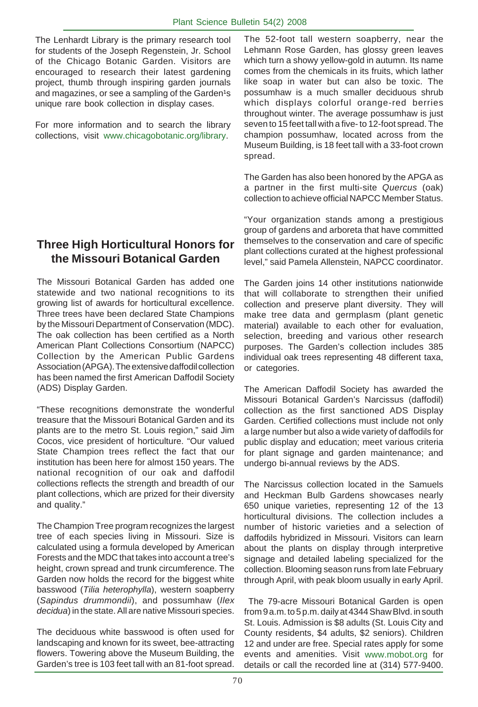The Lenhardt Library is the primary research tool for students of the Joseph Regenstein, Jr. School of the Chicago Botanic Garden. Visitors are encouraged to research their latest gardening project, thumb through inspiring garden journals and magazines, or see a sampling of the Garden<sup>1</sup>s unique rare book collection in display cases.

For more information and to search the library collections, visit www.chicagobotanic.org/library.

# **Three High Horticultural Honors for the Missouri Botanical Garden**

The Missouri Botanical Garden has added one statewide and two national recognitions to its growing list of awards for horticultural excellence. Three trees have been declared State Champions by the Missouri Department of Conservation (MDC). The oak collection has been certified as a North American Plant Collections Consortium (NAPCC) Collection by the American Public Gardens Association (APGA). The extensive daffodil collection has been named the first American Daffodil Society (ADS) Display Garden.

"These recognitions demonstrate the wonderful treasure that the Missouri Botanical Garden and its plants are to the metro St. Louis region," said Jim Cocos, vice president of horticulture. "Our valued State Champion trees reflect the fact that our institution has been here for almost 150 years. The national recognition of our oak and daffodil collections reflects the strength and breadth of our plant collections, which are prized for their diversity and quality."

The Champion Tree program recognizes the largest tree of each species living in Missouri. Size is calculated using a formula developed by American Forests and the MDC that takes into account a tree's height, crown spread and trunk circumference. The Garden now holds the record for the biggest white basswood (*Tilia heterophylla*), western soapberry (*Sapindus drummondii*), and possumhaw (*Ilex decidua*) in the state. All are native Missouri species.

The deciduous white basswood is often used for landscaping and known for its sweet, bee-attracting flowers. Towering above the Museum Building, the Garden's tree is 103 feet tall with an 81-foot spread.

The 52-foot tall western soapberry, near the Lehmann Rose Garden, has glossy green leaves which turn a showy yellow-gold in autumn. Its name comes from the chemicals in its fruits, which lather like soap in water but can also be toxic. The possumhaw is a much smaller deciduous shrub which displays colorful orange-red berries throughout winter. The average possumhaw is just seven to 15 feet tall with a five- to 12-foot spread. The champion possumhaw, located across from the Museum Building, is 18 feet tall with a 33-foot crown spread.

The Garden has also been honored by the APGA as a partner in the first multi-site *Quercus* (oak) collection to achieve official NAPCC Member Status.

"Your organization stands among a prestigious group of gardens and arboreta that have committed themselves to the conservation and care of specific plant collections curated at the highest professional level," said Pamela Allenstein, NAPCC coordinator.

The Garden joins 14 other institutions nationwide that will collaborate to strengthen their unified collection and preserve plant diversity. They will make tree data and germplasm (plant genetic material) available to each other for evaluation, selection, breeding and various other research purposes. The Garden's collection includes 385 individual oak trees representing 48 different taxa, or categories.

The American Daffodil Society has awarded the Missouri Botanical Garden's Narcissus (daffodil) collection as the first sanctioned ADS Display Garden. Certified collections must include not only a large number but also a wide variety of daffodils for public display and education; meet various criteria for plant signage and garden maintenance; and undergo bi-annual reviews by the ADS.

The Narcissus collection located in the Samuels and Heckman Bulb Gardens showcases nearly 650 unique varieties, representing 12 of the 13 horticultural divisions. The collection includes a number of historic varieties and a selection of daffodils hybridized in Missouri. Visitors can learn about the plants on display through interpretive signage and detailed labeling specialized for the collection. Blooming season runs from late February through April, with peak bloom usually in early April.

 The 79-acre Missouri Botanical Garden is open from 9 a.m. to 5 p.m. daily at 4344 Shaw Blvd. in south St. Louis. Admission is \$8 adults (St. Louis City and County residents, \$4 adults, \$2 seniors). Children 12 and under are free. Special rates apply for some events and amenities. Visit www.mobot.org for details or call the recorded line at (314) 577-9400.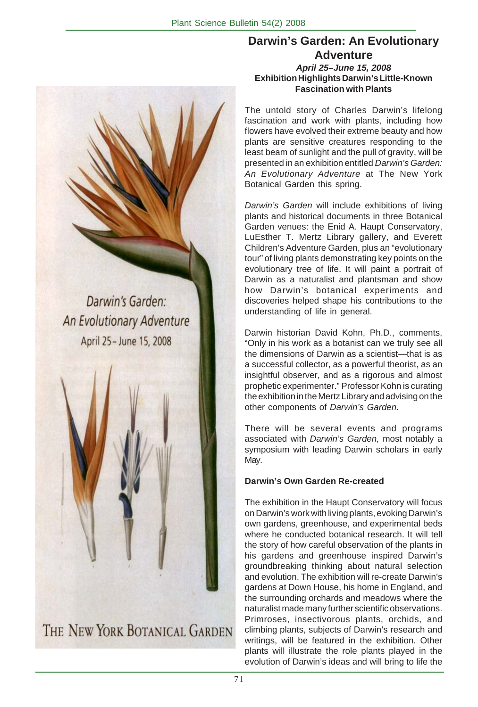**Darwin's Garden: An Evolutionary Adventure** *April 25–June 15, 2008* **Exhibition Highlights Darwin's Little-Known Fascination with Plants**

The untold story of Charles Darwin's lifelong fascination and work with plants, including how flowers have evolved their extreme beauty and how plants are sensitive creatures responding to the least beam of sunlight and the pull of gravity, will be presented in an exhibition entitled *Darwin's Garden: An Evolutionary Adventure* at The New York Botanical Garden this spring.

*Darwin's Garden* will include exhibitions of living plants and historical documents in three Botanical Garden venues: the Enid A. Haupt Conservatory, LuEsther T. Mertz Library gallery, and Everett Children's Adventure Garden, plus an "evolutionary tour" of living plants demonstrating key points on the evolutionary tree of life. It will paint a portrait of Darwin as a naturalist and plantsman and show how Darwin's botanical experiments and discoveries helped shape his contributions to the understanding of life in general.

Darwin historian David Kohn, Ph.D., comments, "Only in his work as a botanist can we truly see all the dimensions of Darwin as a scientist—that is as a successful collector, as a powerful theorist, as an insightful observer, and as a rigorous and almost prophetic experimenter." Professor Kohn is curating the exhibition in the Mertz Library and advising on the other components of *Darwin's Garden.*

There will be several events and programs associated with *Darwin's Garden,* most notably a symposium with leading Darwin scholars in early May.

#### **Darwin's Own Garden Re-created**

The exhibition in the Haupt Conservatory will focus on Darwin's work with living plants, evoking Darwin's own gardens, greenhouse, and experimental beds where he conducted botanical research. It will tell the story of how careful observation of the plants in his gardens and greenhouse inspired Darwin's groundbreaking thinking about natural selection and evolution. The exhibition will re-create Darwin's gardens at Down House, his home in England, and the surrounding orchards and meadows where the naturalist made many further scientific observations. Primroses, insectivorous plants, orchids, and climbing plants, subjects of Darwin's research and writings, will be featured in the exhibition. Other plants will illustrate the role plants played in the evolution of Darwin's ideas and will bring to life the

Darwin's Garden: An Evolutionary Adventure April 25 - June 15, 2008

THE NEW YORK BOTANICAL GARDEN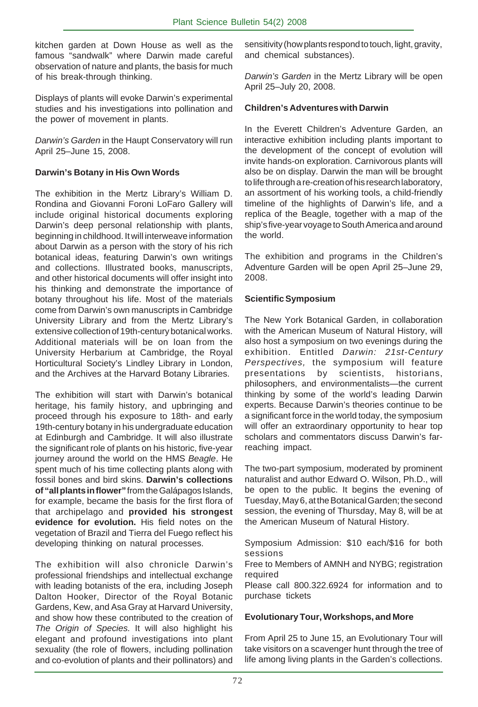kitchen garden at Down House as well as the famous "sandwalk" where Darwin made careful observation of nature and plants, the basis for much of his break-through thinking.

Displays of plants will evoke Darwin's experimental studies and his investigations into pollination and the power of movement in plants.

*Darwin's Garden* in the Haupt Conservatory will run April 25–June 15, 2008.

#### **Darwin's Botany in His Own Words**

The exhibition in the Mertz Library's William D. Rondina and Giovanni Foroni LoFaro Gallery will include original historical documents exploring Darwin's deep personal relationship with plants, beginning in childhood. It will interweave information about Darwin as a person with the story of his rich botanical ideas, featuring Darwin's own writings and collections. Illustrated books, manuscripts, and other historical documents will offer insight into his thinking and demonstrate the importance of botany throughout his life. Most of the materials come from Darwin's own manuscripts in Cambridge University Library and from the Mertz Library's extensive collection of 19th-century botanical works. Additional materials will be on loan from the University Herbarium at Cambridge, the Royal Horticultural Society's Lindley Library in London, and the Archives at the Harvard Botany Libraries.

The exhibition will start with Darwin's botanical heritage, his family history, and upbringing and proceed through his exposure to 18th- and early 19th-century botany in his undergraduate education at Edinburgh and Cambridge. It will also illustrate the significant role of plants on his historic, five-year journey around the world on the HMS *Beagle*. He spent much of his time collecting plants along with fossil bones and bird skins. **Darwin's collections of "all plants in flower"** from the Galápagos Islands, for example, became the basis for the first flora of that archipelago and **provided his strongest evidence for evolution.** His field notes on the vegetation of Brazil and Tierra del Fuego reflect his developing thinking on natural processes.

The exhibition will also chronicle Darwin's professional friendships and intellectual exchange with leading botanists of the era, including Joseph Dalton Hooker, Director of the Royal Botanic Gardens, Kew, and Asa Gray at Harvard University, and show how these contributed to the creation of *The Origin of Species.* It will also highlight his elegant and profound investigations into plant sexuality (the role of flowers, including pollination and co-evolution of plants and their pollinators) and

sensitivity (how plants respond to touch, light, gravity, and chemical substances).

*Darwin's Garden* in the Mertz Library will be open April 25–July 20, 2008.

#### **Children's Adventures with Darwin**

In the Everett Children's Adventure Garden, an interactive exhibition including plants important to the development of the concept of evolution will invite hands-on exploration. Carnivorous plants will also be on display. Darwin the man will be brought to life through a re-creation of his research laboratory, an assortment of his working tools, a child-friendly timeline of the highlights of Darwin's life, and a replica of the Beagle, together with a map of the ship's five-year voyage to South America and around the world.

The exhibition and programs in the Children's Adventure Garden will be open April 25–June 29, 2008.

#### **Scientific Symposium**

The New York Botanical Garden, in collaboration with the American Museum of Natural History, will also host a symposium on two evenings during the exhibition. Entitled *Darwin: 21st-Century Perspectives,* the symposium will feature presentations by scientists, historians, philosophers, and environmentalists—the current thinking by some of the world's leading Darwin experts. Because Darwin's theories continue to be a significant force in the world today, the symposium will offer an extraordinary opportunity to hear top scholars and commentators discuss Darwin's farreaching impact.

The two-part symposium, moderated by prominent naturalist and author Edward O. Wilson, Ph.D., will be open to the public. It begins the evening of Tuesday, May 6, at the Botanical Garden; the second session, the evening of Thursday, May 8, will be at the American Museum of Natural History.

Symposium Admission: \$10 each/\$16 for both sessions

Free to Members of AMNH and NYBG; registration required

Please call 800.322.6924 for information and to purchase tickets

#### **Evolutionary Tour, Workshops, and More**

From April 25 to June 15, an Evolutionary Tour will take visitors on a scavenger hunt through the tree of life among living plants in the Garden's collections.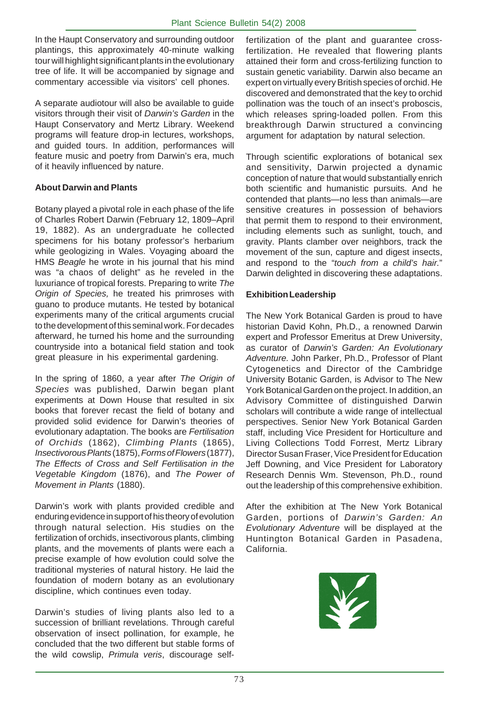In the Haupt Conservatory and surrounding outdoor plantings, this approximately 40-minute walking tour will highlight significant plants in the evolutionary tree of life. It will be accompanied by signage and commentary accessible via visitors' cell phones.

A separate audiotour will also be available to guide visitors through their visit of *Darwin's Garden* in the Haupt Conservatory and Mertz Library. Weekend programs will feature drop-in lectures, workshops, and guided tours. In addition, performances will feature music and poetry from Darwin's era, much of it heavily influenced by nature.

#### **About Darwin and Plants**

Botany played a pivotal role in each phase of the life of Charles Robert Darwin (February 12, 1809–April 19, 1882). As an undergraduate he collected specimens for his botany professor's herbarium while geologizing in Wales. Voyaging aboard the HMS *Beagle* he wrote in his journal that his mind was "a chaos of delight" as he reveled in the luxuriance of tropical forests. Preparing to write *The Origin of Species,* he treated his primroses with guano to produce mutants. He tested by botanical experiments many of the critical arguments crucial to the development of this seminal work. For decades afterward, he turned his home and the surrounding countryside into a botanical field station and took great pleasure in his experimental gardening.

In the spring of 1860, a year after *The Origin of Species* was published, Darwin began plant experiments at Down House that resulted in six books that forever recast the field of botany and provided solid evidence for Darwin's theories of evolutionary adaptation. The books are *Fertilisation of Orchids* (1862), *Climbing Plants* (1865), *Insectivorous Plants* (1875), *Forms of Flowers* (1877), *The Effects of Cross and Self Fertilisation in the Vegetable Kingdom* (1876), and *The Power of Movement in Plants* (1880).

Darwin's work with plants provided credible and enduring evidence in support of his theory of evolution through natural selection. His studies on the fertilization of orchids, insectivorous plants, climbing plants, and the movements of plants were each a precise example of how evolution could solve the traditional mysteries of natural history. He laid the foundation of modern botany as an evolutionary discipline, which continues even today.

Darwin's studies of living plants also led to a succession of brilliant revelations. Through careful observation of insect pollination, for example, he concluded that the two different but stable forms of the wild cowslip, *Primula veris*, discourage self-

fertilization of the plant and guarantee crossfertilization. He revealed that flowering plants attained their form and cross-fertilizing function to sustain genetic variability. Darwin also became an expert on virtually every British species of orchid. He discovered and demonstrated that the key to orchid pollination was the touch of an insect's proboscis, which releases spring-loaded pollen. From this breakthrough Darwin structured a convincing argument for adaptation by natural selection.

Through scientific explorations of botanical sex and sensitivity, Darwin projected a dynamic conception of nature that would substantially enrich both scientific and humanistic pursuits. And he contended that plants—no less than animals—are sensitive creatures in possession of behaviors that permit them to respond to their environment, including elements such as sunlight, touch, and gravity. Plants clamber over neighbors, track the movement of the sun, capture and digest insects, and respond to the "*touch from a child's hair.*" Darwin delighted in discovering these adaptations.

#### **Exhibition Leadership**

The New York Botanical Garden is proud to have historian David Kohn, Ph.D., a renowned Darwin expert and Professor Emeritus at Drew University, as curator of *Darwin's Garden: An Evolutionary Adventure.* John Parker, Ph.D., Professor of Plant Cytogenetics and Director of the Cambridge University Botanic Garden, is Advisor to The New York Botanical Garden on the project. In addition, an Advisory Committee of distinguished Darwin scholars will contribute a wide range of intellectual perspectives. Senior New York Botanical Garden staff, including Vice President for Horticulture and Living Collections Todd Forrest, Mertz Library Director Susan Fraser, Vice President for Education Jeff Downing, and Vice President for Laboratory Research Dennis Wm. Stevenson, Ph.D., round out the leadership of this comprehensive exhibition.

After the exhibition at The New York Botanical Garden, portions of *Darwin's Garden: An Evolutionary Adventure* will be displayed at the Huntington Botanical Garden in Pasadena, California.

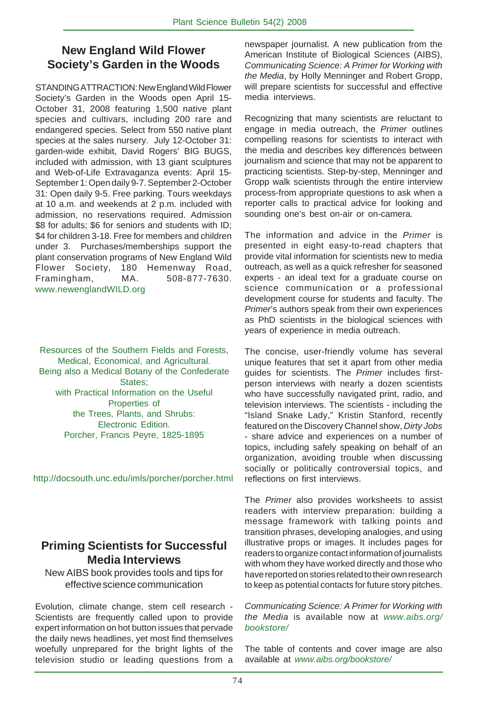# **New England Wild Flower Society's Garden in the Woods**

STANDING ATTRACTION: New England Wild Flower Society's Garden in the Woods open April 15- October 31, 2008 featuring 1,500 native plant species and cultivars, including 200 rare and endangered species. Select from 550 native plant species at the sales nursery. July 12-October 31: garden-wide exhibit, David Rogers' BIG BUGS, included with admission, with 13 giant sculptures and Web-of-Life Extravaganza events: April 15- September 1: Open daily 9-7. September 2-October 31: Open daily 9-5. Free parking. Tours weekdays at 10 a.m. and weekends at 2 p.m. included with admission, no reservations required. Admission \$8 for adults; \$6 for seniors and students with ID; \$4 for children 3-18. Free for members and children under 3. Purchases/memberships support the plant conservation programs of New England Wild Flower Society, 180 Hemenway Road, Framingham, MA. 508-877-7630. www.newenglandWILD.org

Resources of the Southern Fields and Forests, Medical, Economical, and Agricultural. Being also a Medical Botany of the Confederate States; with Practical Information on the Useful Properties of the Trees, Plants, and Shrubs: Electronic Edition. Porcher, Francis Peyre, 1825-1895

http://docsouth.unc.edu/imls/porcher/porcher.html

## **Priming Scientists for Successful Media Interviews**

New AIBS book provides tools and tips for effective science communication

Evolution, climate change, stem cell research - Scientists are frequently called upon to provide expert information on hot button issues that pervade the daily news headlines, yet most find themselves woefully unprepared for the bright lights of the television studio or leading questions from a

newspaper journalist. A new publication from the American Institute of Biological Sciences (AIBS), *Communicating Science: A Primer for Working with the Media*, by Holly Menninger and Robert Gropp, will prepare scientists for successful and effective media interviews.

Recognizing that many scientists are reluctant to engage in media outreach, the *Primer* outlines compelling reasons for scientists to interact with the media and describes key differences between journalism and science that may not be apparent to practicing scientists. Step-by-step, Menninger and Gropp walk scientists through the entire interview process-from appropriate questions to ask when a reporter calls to practical advice for looking and sounding one's best on-air or on-camera.

The information and advice in the *Primer* is presented in eight easy-to-read chapters that provide vital information for scientists new to media outreach, as well as a quick refresher for seasoned experts - an ideal text for a graduate course on science communication or a professional development course for students and faculty. The *Primer*'s authors speak from their own experiences as PhD scientists in the biological sciences with years of experience in media outreach.

The concise, user-friendly volume has several unique features that set it apart from other media guides for scientists. The *Primer* includes firstperson interviews with nearly a dozen scientists who have successfully navigated print, radio, and television interviews. The scientists - including the "Island Snake Lady," Kristin Stanford, recently featured on the Discovery Channel show, *Dirty Jobs* - share advice and experiences on a number of topics, including safely speaking on behalf of an organization, avoiding trouble when discussing socially or politically controversial topics, and reflections on first interviews.

The *Primer* also provides worksheets to assist readers with interview preparation: building a message framework with talking points and transition phrases, developing analogies, and using illustrative props or images. It includes pages for readers to organize contact information of journalists with whom they have worked directly and those who have reported on stories related to their own research to keep as potential contacts for future story pitches.

#### *Communicating Science: A Primer for Working with the Media* is available now at *www.aibs.org/ bookstore/*

The table of contents and cover image are also available at *www.aibs.org/bookstore/*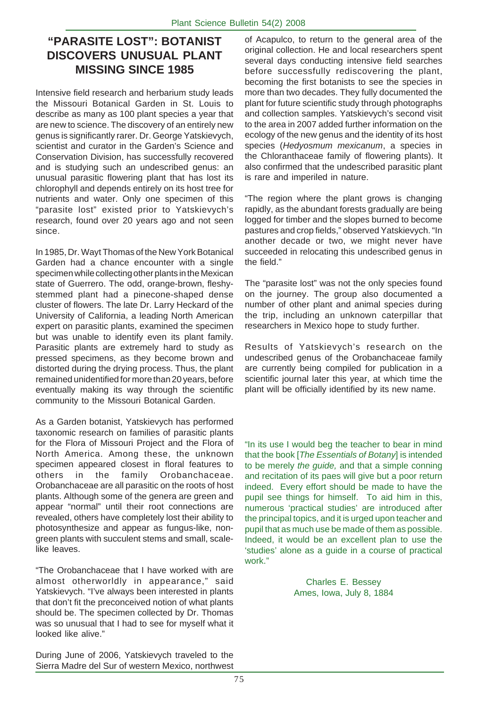# **"PARASITE LOST": BOTANIST DISCOVERS UNUSUAL PLANT MISSING SINCE 1985**

Intensive field research and herbarium study leads the Missouri Botanical Garden in St. Louis to describe as many as 100 plant species a year that are new to science. The discovery of an entirely new genus is significantly rarer. Dr. George Yatskievych, scientist and curator in the Garden's Science and Conservation Division, has successfully recovered and is studying such an undescribed genus: an unusual parasitic flowering plant that has lost its chlorophyll and depends entirely on its host tree for nutrients and water. Only one specimen of this "parasite lost" existed prior to Yatskievych's research, found over 20 years ago and not seen since.

In 1985, Dr. Wayt Thomas of the New York Botanical Garden had a chance encounter with a single specimen while collecting other plants in the Mexican state of Guerrero. The odd, orange-brown, fleshystemmed plant had a pinecone-shaped dense cluster of flowers. The late Dr. Larry Heckard of the University of California, a leading North American expert on parasitic plants, examined the specimen but was unable to identify even its plant family. Parasitic plants are extremely hard to study as pressed specimens, as they become brown and distorted during the drying process. Thus, the plant remained unidentified for more than 20 years, before eventually making its way through the scientific community to the Missouri Botanical Garden.

As a Garden botanist, Yatskievych has performed taxonomic research on families of parasitic plants for the Flora of Missouri Project and the Flora of North America. Among these, the unknown specimen appeared closest in floral features to others in the family Orobanchaceae. Orobanchaceae are all parasitic on the roots of host plants. Although some of the genera are green and appear "normal" until their root connections are revealed, others have completely lost their ability to photosynthesize and appear as fungus-like, nongreen plants with succulent stems and small, scalelike leaves.

"The Orobanchaceae that I have worked with are almost otherworldly in appearance," said Yatskievych. "I've always been interested in plants that don't fit the preconceived notion of what plants should be. The specimen collected by Dr. Thomas was so unusual that I had to see for myself what it looked like alive."

During June of 2006, Yatskievych traveled to the Sierra Madre del Sur of western Mexico, northwest of Acapulco, to return to the general area of the original collection. He and local researchers spent several days conducting intensive field searches before successfully rediscovering the plant, becoming the first botanists to see the species in more than two decades. They fully documented the plant for future scientific study through photographs and collection samples. Yatskievych's second visit to the area in 2007 added further information on the ecology of the new genus and the identity of its host species (*Hedyosmum mexicanum*, a species in the Chloranthaceae family of flowering plants). It also confirmed that the undescribed parasitic plant is rare and imperiled in nature.

"The region where the plant grows is changing rapidly, as the abundant forests gradually are being logged for timber and the slopes burned to become pastures and crop fields," observed Yatskievych. "In another decade or two, we might never have succeeded in relocating this undescribed genus in the field."

The "parasite lost" was not the only species found on the journey. The group also documented a number of other plant and animal species during the trip, including an unknown caterpillar that researchers in Mexico hope to study further.

Results of Yatskievych's research on the undescribed genus of the Orobanchaceae family are currently being compiled for publication in a scientific journal later this year, at which time the plant will be officially identified by its new name.

"In its use I would beg the teacher to bear in mind that the book [*The Essentials of Botany*] is intended to be merely *the guide,* and that a simple conning and recitation of its paes will give but a poor return indeed. Every effort should be made to have the pupil see things for himself. To aid him in this, numerous 'practical studies' are introduced after the principal topics, and it is urged upon teacher and pupil that as much use be made of them as possible. Indeed, it would be an excellent plan to use the 'studies' alone as a guide in a course of practical work."

> Charles E. Bessey Ames, Iowa, July 8, 1884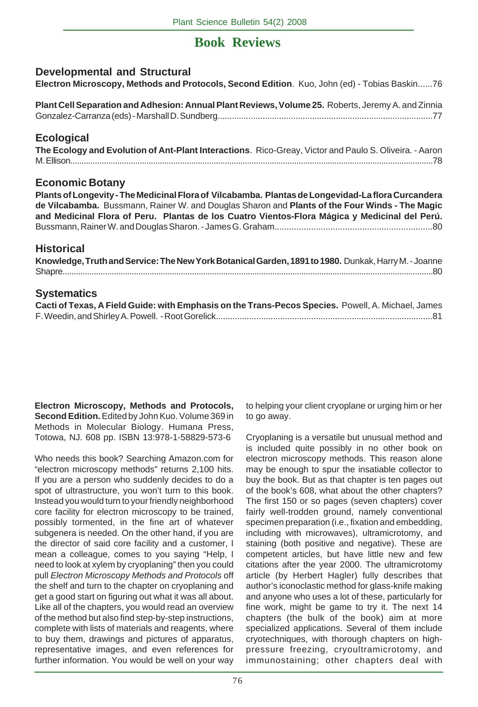# **Book Reviews**

#### **Developmental and Structural**

**Electron Microscopy, Methods and Protocols, Second Edition**. Kuo, John (ed) - Tobias Baskin......76

**Plant Cell Separation and Adhesion: Annual Plant Reviews, Volume 25.** Roberts, Jeremy A. and Zinnia Gonzalez-Carranza (eds) - Marshall D. Sundberg...........................................................................................77

#### **Ecological**

**The Ecology and Evolution of Ant-Plant Interactions**. Rico-Greay, Victor and Paulo S. Oliveira. - Aaron M. Ellison..................................................................................................................................................................78

#### **Economic Botany**

**Plants of Longevity - The Medicinal Flora of Vilcabamba. Plantas de Longevidad-La flora Curcandera de Vilcabamba.** Bussmann, Rainer W. and Douglas Sharon and **Plants of the Four Winds - The Magic and Medicinal Flora of Peru. Plantas de los Cuatro Vientos-Flora Mágica y Medicinal del Perú.** Bussmann, Rainer W. and Douglas Sharon. - James G. Graham.................................................................80

#### **Historical**

| Knowledge, Truth and Service: The New York Botanical Garden, 1891 to 1980. Dunkak, Harry M. - Joanne |  |
|------------------------------------------------------------------------------------------------------|--|
|                                                                                                      |  |

#### **Systematics**

| Cacti of Texas, A Field Guide: with Emphasis on the Trans-Pecos Species. Powell, A. Michael, James |  |
|----------------------------------------------------------------------------------------------------|--|
|                                                                                                    |  |

**Electron Microscopy, Methods and Protocols, Second Edition.** Edited by John Kuo. Volume 369 in Methods in Molecular Biology. Humana Press, Totowa, NJ. 608 pp. ISBN 13:978-1-58829-573-6

Who needs this book? Searching Amazon.com for "electron microscopy methods" returns 2,100 hits. If you are a person who suddenly decides to do a spot of ultrastructure, you won't turn to this book. Instead you would turn to your friendly neighborhood core facility for electron microscopy to be trained, possibly tormented, in the fine art of whatever subgenera is needed. On the other hand, if you are the director of said core facility and a customer, I mean a colleague, comes to you saying "Help, I need to look at xylem by cryoplaning" then you could pull *Electron Microscopy Methods and Protocols* off the shelf and turn to the chapter on cryoplaning and get a good start on figuring out what it was all about. Like all of the chapters, you would read an overview of the method but also find step-by-step instructions, complete with lists of materials and reagents, where to buy them, drawings and pictures of apparatus, representative images, and even references for further information. You would be well on your way

to helping your client cryoplane or urging him or her to go away.

Cryoplaning is a versatile but unusual method and is included quite possibly in no other book on electron microscopy methods. This reason alone may be enough to spur the insatiable collector to buy the book. But as that chapter is ten pages out of the book's 608, what about the other chapters? The first 150 or so pages (seven chapters) cover fairly well-trodden ground, namely conventional specimen preparation (i.e., fixation and embedding, including with microwaves), ultramicrotomy, and staining (both positive and negative). These are competent articles, but have little new and few citations after the year 2000. The ultramicrotomy article (by Herbert Hagler) fully describes that author's iconoclastic method for glass-knife making and anyone who uses a lot of these, particularly for fine work, might be game to try it. The next 14 chapters (the bulk of the book) aim at more specialized applications. Several of them include cryotechniques, with thorough chapters on highpressure freezing, cryoultramicrotomy, and immunostaining; other chapters deal with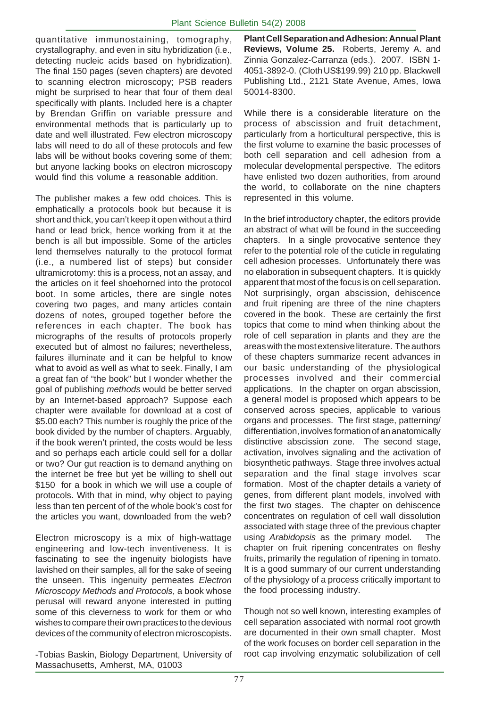quantitative immunostaining, tomography, crystallography, and even in situ hybridization (i.e., detecting nucleic acids based on hybridization). The final 150 pages (seven chapters) are devoted to scanning electron microscopy; PSB readers might be surprised to hear that four of them deal specifically with plants. Included here is a chapter by Brendan Griffin on variable pressure and environmental methods that is particularly up to date and well illustrated. Few electron microscopy labs will need to do all of these protocols and few labs will be without books covering some of them; but anyone lacking books on electron microscopy would find this volume a reasonable addition.

The publisher makes a few odd choices. This is emphatically a protocols book but because it is short and thick, you can't keep it open without a third hand or lead brick, hence working from it at the bench is all but impossible. Some of the articles lend themselves naturally to the protocol format (i.e., a numbered list of steps) but consider ultramicrotomy: this is a process, not an assay, and the articles on it feel shoehorned into the protocol boot. In some articles, there are single notes covering two pages, and many articles contain dozens of notes, grouped together before the references in each chapter. The book has micrographs of the results of protocols properly executed but of almost no failures; nevertheless, failures illuminate and it can be helpful to know what to avoid as well as what to seek. Finally, I am a great fan of "the book" but I wonder whether the goal of publishing *methods* would be better served by an Internet-based approach? Suppose each chapter were available for download at a cost of \$5.00 each? This number is roughly the price of the book divided by the number of chapters. Arguably, if the book weren't printed, the costs would be less and so perhaps each article could sell for a dollar or two? Our gut reaction is to demand anything on the internet be free but yet be willing to shell out \$150 for a book in which we will use a couple of protocols. With that in mind, why object to paying less than ten percent of of the whole book's cost for the articles you want, downloaded from the web?

Electron microscopy is a mix of high-wattage engineering and low-tech inventiveness. It is fascinating to see the ingenuity biologists have lavished on their samples, all for the sake of seeing the unseen. This ingenuity permeates *Electron Microscopy Methods and Protocols*, a book whose perusal will reward anyone interested in putting some of this cleverness to work for them or who wishes to compare their own practices to the devious devices of the community of electron microscopists.

-Tobias Baskin, Biology Department, University of Massachusetts, Amherst, MA, 01003

**Plant Cell Separation and Adhesion: Annual Plant Reviews, Volume 25.** Roberts, Jeremy A. and Zinnia Gonzalez-Carranza (eds.). 2007. ISBN 1- 4051-3892-0. (Cloth US\$199.99) 210 pp. Blackwell Publishing Ltd., 2121 State Avenue, Ames, Iowa 50014-8300.

While there is a considerable literature on the process of abscission and fruit detachment, particularly from a horticultural perspective, this is the first volume to examine the basic processes of both cell separation and cell adhesion from a molecular developmental perspective. The editors have enlisted two dozen authorities, from around the world, to collaborate on the nine chapters represented in this volume.

In the brief introductory chapter, the editors provide an abstract of what will be found in the succeeding chapters. In a single provocative sentence they refer to the potential role of the cuticle in regulating cell adhesion processes. Unfortunately there was no elaboration in subsequent chapters. It is quickly apparent that most of the focus is on cell separation. Not surprisingly, organ abscission, dehiscence and fruit ripening are three of the nine chapters covered in the book. These are certainly the first topics that come to mind when thinking about the role of cell separation in plants and they are the areas with the most extensive literature. The authors of these chapters summarize recent advances in our basic understanding of the physiological processes involved and their commercial applications. In the chapter on organ abscission, a general model is proposed which appears to be conserved across species, applicable to various organs and processes. The first stage, patterning/ differentiation, involves formation of an anatomically distinctive abscission zone. The second stage, activation, involves signaling and the activation of biosynthetic pathways. Stage three involves actual separation and the final stage involves scar formation. Most of the chapter details a variety of genes, from different plant models, involved with the first two stages. The chapter on dehiscence concentrates on regulation of cell wall dissolution associated with stage three of the previous chapter using *Arabidopsis* as the primary model. The chapter on fruit ripening concentrates on fleshy fruits, primarily the regulation of ripening in tomato. It is a good summary of our current understanding of the physiology of a process critically important to the food processing industry.

Though not so well known, interesting examples of cell separation associated with normal root growth are documented in their own small chapter. Most of the work focuses on border cell separation in the root cap involving enzymatic solubilization of cell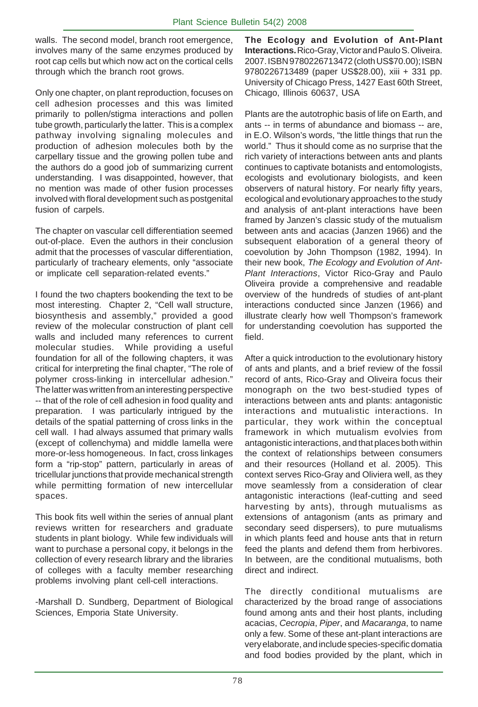walls. The second model, branch root emergence, involves many of the same enzymes produced by root cap cells but which now act on the cortical cells through which the branch root grows.

Only one chapter, on plant reproduction, focuses on cell adhesion processes and this was limited primarily to pollen/stigma interactions and pollen tube growth, particularly the latter. This is a complex pathway involving signaling molecules and production of adhesion molecules both by the carpellary tissue and the growing pollen tube and the authors do a good job of summarizing current understanding. I was disappointed, however, that no mention was made of other fusion processes involved with floral development such as postgenital fusion of carpels.

The chapter on vascular cell differentiation seemed out-of-place. Even the authors in their conclusion admit that the processes of vascular differentiation, particularly of tracheary elements, only "associate or implicate cell separation-related events."

I found the two chapters bookending the text to be most interesting. Chapter 2, "Cell wall structure, biosynthesis and assembly," provided a good review of the molecular construction of plant cell walls and included many references to current molecular studies. While providing a useful foundation for all of the following chapters, it was critical for interpreting the final chapter, "The role of polymer cross-linking in intercellular adhesion." The latter was written from an interesting perspective -- that of the role of cell adhesion in food quality and preparation. I was particularly intrigued by the details of the spatial patterning of cross links in the cell wall. I had always assumed that primary walls (except of collenchyma) and middle lamella were more-or-less homogeneous. In fact, cross linkages form a "rip-stop" pattern, particularly in areas of tricellular junctions that provide mechanical strength while permitting formation of new intercellular spaces.

This book fits well within the series of annual plant reviews written for researchers and graduate students in plant biology. While few individuals will want to purchase a personal copy, it belongs in the collection of every research library and the libraries of colleges with a faculty member researching problems involving plant cell-cell interactions.

-Marshall D. Sundberg, Department of Biological Sciences, Emporia State University.

**The Ecology and Evolution of Ant-Plant Interactions.** Rico-Gray, Victor and Paulo S. Oliveira. 2007. ISBN 9780226713472 (cloth US\$70.00); ISBN 9780226713489 (paper US\$28.00), xiii + 331 pp. University of Chicago Press, 1427 East 60th Street, Chicago, Illinois 60637, USA

Plants are the autotrophic basis of life on Earth, and ants -- in terms of abundance and biomass -- are, in E.O. Wilson's words, "the little things that run the world." Thus it should come as no surprise that the rich variety of interactions between ants and plants continues to captivate botanists and entomologists, ecologists and evolutionary biologists, and keen observers of natural history. For nearly fifty years, ecological and evolutionary approaches to the study and analysis of ant-plant interactions have been framed by Janzen's classic study of the mutualism between ants and acacias (Janzen 1966) and the subsequent elaboration of a general theory of coevolution by John Thompson (1982, 1994). In their new book, *The Ecology and Evolution of Ant-Plant Interactions*, Victor Rico-Gray and Paulo Oliveira provide a comprehensive and readable overview of the hundreds of studies of ant-plant interactions conducted since Janzen (1966) and illustrate clearly how well Thompson's framework for understanding coevolution has supported the field.

After a quick introduction to the evolutionary history of ants and plants, and a brief review of the fossil record of ants, Rico-Gray and Oliveira focus their monograph on the two best-studied types of interactions between ants and plants: antagonistic interactions and mutualistic interactions. In particular, they work within the conceptual framework in which mutualism evolvies from antagonistic interactions, and that places both within the context of relationships between consumers and their resources (Holland et al. 2005). This context serves Rico-Gray and Oliviera well, as they move seamlessly from a consideration of clear antagonistic interactions (leaf-cutting and seed harvesting by ants), through mutualisms as extensions of antagonism (ants as primary and secondary seed dispersers), to pure mutualisms in which plants feed and house ants that in return feed the plants and defend them from herbivores. In between, are the conditional mutualisms, both direct and indirect.

The directly conditional mutualisms are characterized by the broad range of associations found among ants and their host plants, including acacias, *Cecropia*, *Piper*, and *Macaranga*, to name only a few. Some of these ant-plant interactions are very elaborate, and include species-specific domatia and food bodies provided by the plant, which in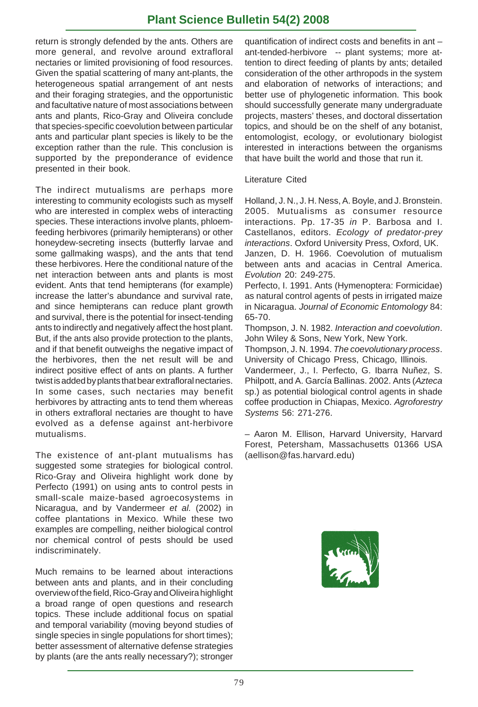# **Plant Science Bulletin 54(2) 2008**

return is strongly defended by the ants. Others are more general, and revolve around extrafloral nectaries or limited provisioning of food resources. Given the spatial scattering of many ant-plants, the heterogeneous spatial arrangement of ant nests and their foraging strategies, and the opportunistic and facultative nature of most associations between ants and plants, Rico-Gray and Oliveira conclude that species-specific coevolution between particular ants and particular plant species is likely to be the exception rather than the rule. This conclusion is supported by the preponderance of evidence presented in their book.

The indirect mutualisms are perhaps more interesting to community ecologists such as myself who are interested in complex webs of interacting species. These interactions involve plants, phloemfeeding herbivores (primarily hemipterans) or other honeydew-secreting insects (butterfly larvae and some gallmaking wasps), and the ants that tend these herbivores. Here the conditional nature of the net interaction between ants and plants is most evident. Ants that tend hemipterans (for example) increase the latter's abundance and survival rate, and since hemipterans can reduce plant growth and survival, there is the potential for insect-tending ants to indirectly and negatively affect the host plant. But, if the ants also provide protection to the plants, and if that benefit outweighs the negative impact of the herbivores, then the net result will be and indirect positive effect of ants on plants. A further twist is added by plants that bear extrafloral nectaries. In some cases, such nectaries may benefit herbivores by attracting ants to tend them whereas in others extrafloral nectaries are thought to have evolved as a defense against ant-herbivore mutualisms.

The existence of ant-plant mutualisms has suggested some strategies for biological control. Rico-Gray and Oliveira highlight work done by Perfecto (1991) on using ants to control pests in small-scale maize-based agroecosystems in Nicaragua, and by Vandermeer *et al.* (2002) in coffee plantations in Mexico. While these two examples are compelling, neither biological control nor chemical control of pests should be used indiscriminately.

Much remains to be learned about interactions between ants and plants, and in their concluding overview of the field, Rico-Gray and Oliveira highlight a broad range of open questions and research topics. These include additional focus on spatial and temporal variability (moving beyond studies of single species in single populations for short times); better assessment of alternative defense strategies by plants (are the ants really necessary?); stronger

quantification of indirect costs and benefits in ant – ant-tended-herbivore -- plant systems; more attention to direct feeding of plants by ants; detailed consideration of the other arthropods in the system and elaboration of networks of interactions; and better use of phylogenetic information. This book should successfully generate many undergraduate projects, masters' theses, and doctoral dissertation topics, and should be on the shelf of any botanist, entomologist, ecology, or evolutionary biologist interested in interactions between the organisms that have built the world and those that run it.

#### Literature Cited

Holland, J. N., J. H. Ness, A. Boyle, and J. Bronstein. 2005. Mutualisms as consumer resource interactions. Pp. 17-35 *in* P. Barbosa and I. Castellanos, editors. *Ecology of predator-prey interactions*. Oxford University Press, Oxford, UK. Janzen, D. H. 1966. Coevolution of mutualism between ants and acacias in Central America. *Evolution* 20: 249-275.

Perfecto, I. 1991. Ants (Hymenoptera: Formicidae) as natural control agents of pests in irrigated maize in Nicaragua. *Journal of Economic Entomology* 84: 65-70.

Thompson, J. N. 1982. *Interaction and coevolution*. John Wiley & Sons, New York, New York.

Thompson, J. N. 1994. *The coevolutionary process*. University of Chicago Press, Chicago, Illinois.

Vandermeer, J., I. Perfecto, G. Ibarra Nuñez, S. Philpott, and A. García Ballinas. 2002. Ants (*Azteca* sp.) as potential biological control agents in shade coffee production in Chiapas, Mexico. *Agroforestry Systems* 56: 271-276.

– Aaron M. Ellison, Harvard University, Harvard Forest, Petersham, Massachusetts 01366 USA (aellison@fas.harvard.edu)

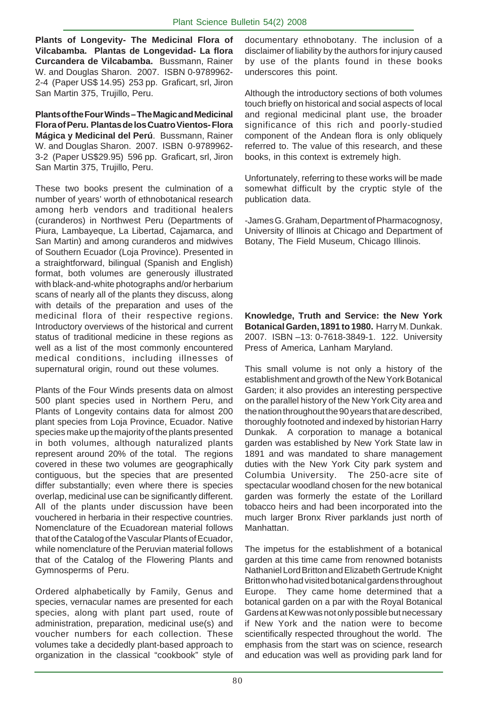**Plants of Longevity- The Medicinal Flora of Vilcabamba. Plantas de Longevidad- La flora Curcandera de Vilcabamba.** Bussmann, Rainer W. and Douglas Sharon. 2007. ISBN 0-9789962- 2-4 (Paper US\$ 14.95) 253 pp. Graficart, srl, Jiron San Martin 375, Trujillo, Peru.

**Plants of the Four Winds – The Magic and Medicinal Flora of Peru. Plantas de los Cuatro Vientos- Flora Mágica y Medicinal del Perú**.Bussmann, Rainer W. and Douglas Sharon. 2007. ISBN 0-9789962- 3-2 (Paper US\$29.95) 596 pp. Graficart, srl, Jiron San Martin 375, Trujillo, Peru.

These two books present the culmination of a number of years' worth of ethnobotanical research among herb vendors and traditional healers (curanderos) in Northwest Peru (Departments of Piura, Lambayeque, La Libertad, Cajamarca, and San Martin) and among curanderos and midwives of Southern Ecuador (Loja Province). Presented in a straightforward, bilingual (Spanish and English) format, both volumes are generously illustrated with black-and-white photographs and/or herbarium scans of nearly all of the plants they discuss, along with details of the preparation and uses of the medicinal flora of their respective regions. Introductory overviews of the historical and current status of traditional medicine in these regions as well as a list of the most commonly encountered medical conditions, including illnesses of supernatural origin, round out these volumes.

Plants of the Four Winds presents data on almost 500 plant species used in Northern Peru, and Plants of Longevity contains data for almost 200 plant species from Loja Province, Ecuador. Native species make up the majority of the plants presented in both volumes, although naturalized plants represent around 20% of the total. The regions covered in these two volumes are geographically contiguous, but the species that are presented differ substantially; even where there is species overlap, medicinal use can be significantly different. All of the plants under discussion have been vouchered in herbaria in their respective countries. Nomenclature of the Ecuadorean material follows that of the Catalog of the Vascular Plants of Ecuador, while nomenclature of the Peruvian material follows that of the Catalog of the Flowering Plants and Gymnosperms of Peru.

Ordered alphabetically by Family, Genus and species, vernacular names are presented for each species, along with plant part used, route of administration, preparation, medicinal use(s) and voucher numbers for each collection. These volumes take a decidedly plant-based approach to organization in the classical "cookbook" style of documentary ethnobotany. The inclusion of a disclaimer of liability by the authors for injury caused by use of the plants found in these books underscores this point.

Although the introductory sections of both volumes touch briefly on historical and social aspects of local and regional medicinal plant use, the broader significance of this rich and poorly-studied component of the Andean flora is only obliquely referred to. The value of this research, and these books, in this context is extremely high.

Unfortunately, referring to these works will be made somewhat difficult by the cryptic style of the publication data.

-James G. Graham, Department of Pharmacognosy, University of Illinois at Chicago and Department of Botany, The Field Museum, Chicago Illinois.

**Knowledge, Truth and Service: the New York Botanical Garden, 1891 to 1980.** Harry M. Dunkak. 2007. ISBN –13: 0-7618-3849-1. 122. University Press of America, Lanham Maryland.

This small volume is not only a history of the establishment and growth of the New York Botanical Garden; it also provides an interesting perspective on the parallel history of the New York City area and the nation throughout the 90 years that are described, thoroughly footnoted and indexed by historian Harry Dunkak. A corporation to manage a botanical garden was established by New York State law in 1891 and was mandated to share management duties with the New York City park system and Columbia University. The 250-acre site of spectacular woodland chosen for the new botanical garden was formerly the estate of the Lorillard tobacco heirs and had been incorporated into the much larger Bronx River parklands just north of Manhattan.

The impetus for the establishment of a botanical garden at this time came from renowned botanists Nathaniel Lord Britton and Elizabeth Gertrude Knight Britton who had visited botanical gardens throughout Europe. They came home determined that a botanical garden on a par with the Royal Botanical Gardens at Kew was not only possible but necessary if New York and the nation were to become scientifically respected throughout the world. The emphasis from the start was on science, research and education was well as providing park land for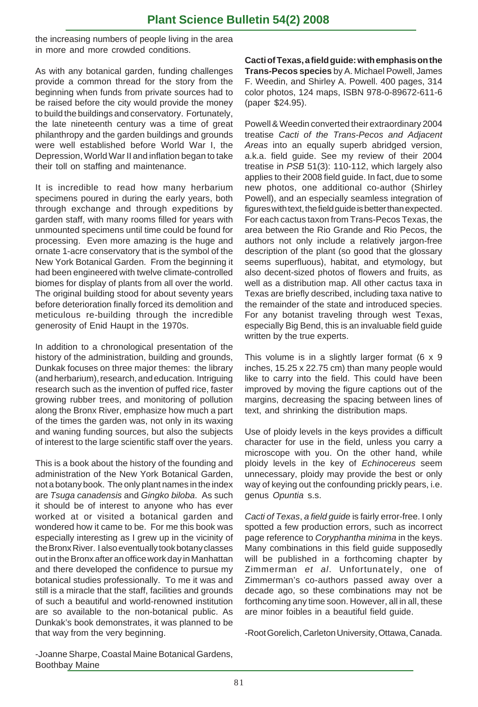the increasing numbers of people living in the area in more and more crowded conditions.

As with any botanical garden, funding challenges provide a common thread for the story from the beginning when funds from private sources had to be raised before the city would provide the money to build the buildings and conservatory. Fortunately, the late nineteenth century was a time of great philanthropy and the garden buildings and grounds were well established before World War I, the Depression, World War II and inflation began to take their toll on staffing and maintenance.

It is incredible to read how many herbarium specimens poured in during the early years, both through exchange and through expeditions by garden staff, with many rooms filled for years with unmounted specimens until time could be found for processing. Even more amazing is the huge and ornate 1-acre conservatory that is the symbol of the New York Botanical Garden. From the beginning it had been engineered with twelve climate-controlled biomes for display of plants from all over the world. The original building stood for about seventy years before deterioration finally forced its demolition and meticulous re-building through the incredible generosity of Enid Haupt in the 1970s.

In addition to a chronological presentation of the history of the administration, building and grounds, Dunkak focuses on three major themes: the library (and herbarium), research, and education. Intriguing research such as the invention of puffed rice, faster growing rubber trees, and monitoring of pollution along the Bronx River, emphasize how much a part of the times the garden was, not only in its waxing and waning funding sources, but also the subjects of interest to the large scientific staff over the years.

This is a book about the history of the founding and administration of the New York Botanical Garden, not a botany book. The only plant names in the index are *Tsuga canadensis* and *Gingko biloba*. As such it should be of interest to anyone who has ever worked at or visited a botanical garden and wondered how it came to be. For me this book was especially interesting as I grew up in the vicinity of the Bronx River. I also eventually took botany classes out in the Bronx after an office work day in Manhattan and there developed the confidence to pursue my botanical studies professionally. To me it was and still is a miracle that the staff, facilities and grounds of such a beautiful and world-renowned institution are so available to the non-botanical public. As Dunkak's book demonstrates, it was planned to be that way from the very beginning.

**Cacti of Texas, a field guide: with emphasis on the Trans-Pecos species** by A. Michael Powell, James F. Weedin, and Shirley A. Powell. 400 pages, 314 color photos, 124 maps, ISBN 978-0-89672-611-6 (paper \$24.95).

Powell & Weedin converted their extraordinary 2004 treatise *Cacti of the Trans-Pecos and Adjacent Areas* into an equally superb abridged version, a.k.a. field guide. See my review of their 2004 treatise in *PSB* 51(3): 110-112, which largely also applies to their 2008 field guide. In fact, due to some new photos, one additional co-author (Shirley Powell), and an especially seamless integration of figures with text, the field guide is better than expected. For each cactus taxon from Trans-Pecos Texas, the area between the Rio Grande and Rio Pecos, the authors not only include a relatively jargon-free description of the plant (so good that the glossary seems superfluous), habitat, and etymology, but also decent-sized photos of flowers and fruits, as well as a distribution map. All other cactus taxa in Texas are briefly described, including taxa native to the remainder of the state and introduced species. For any botanist traveling through west Texas, especially Big Bend, this is an invaluable field guide written by the true experts.

This volume is in a slightly larger format (6 x 9 inches, 15.25 x 22.75 cm) than many people would like to carry into the field. This could have been improved by moving the figure captions out of the margins, decreasing the spacing between lines of text, and shrinking the distribution maps.

Use of ploidy levels in the keys provides a difficult character for use in the field, unless you carry a microscope with you. On the other hand, while ploidy levels in the key of *Echinocereus* seem unnecessary, ploidy may provide the best or only way of keying out the confounding prickly pears, i.e. genus *Opuntia* s.s.

*Cacti of Texas*, *a field guide* is fairly error-free. I only spotted a few production errors, such as incorrect page reference to *Coryphantha minima* in the keys. Many combinations in this field guide supposedly will be published in a forthcoming chapter by Zimmerman *et al*. Unfortunately, one of Zimmerman's co-authors passed away over a decade ago, so these combinations may not be forthcoming any time soon. However, all in all, these are minor foibles in a beautiful field guide.

-Root Gorelich, Carleton University, Ottawa, Canada.

-Joanne Sharpe, Coastal Maine Botanical Gardens, Boothbay Maine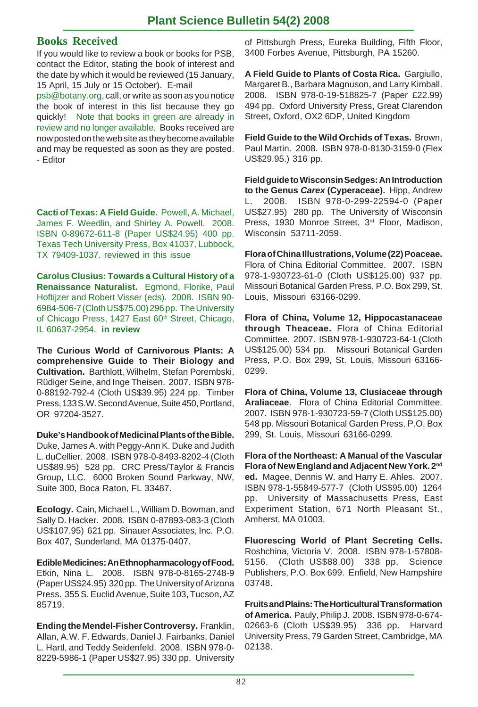#### **Books Received**

If you would like to review a book or books for PSB, contact the Editor, stating the book of interest and the date by which it would be reviewed (15 January, 15 April, 15 July or 15 October). E-mail

psb@botany.org, call, or write as soon as you notice the book of interest in this list because they go quickly! Note that books in green are already in review and no longer available. Books received are now posted on the web site as they become available and may be requested as soon as they are posted. - Editor

**Cacti of Texas: A Field Guide.** Powell, A. Michael, James F. Weedlin, and Shirley A. Powell. 2008. ISBN 0-89672-611-8 (Paper US\$24.95) 400 pp. Texas Tech University Press, Box 41037, Lubbock, TX 79409-1037. reviewed in this issue

**Carolus Clusius: Towards a Cultural History of a Renaissance Naturalist.** Egmond, Florike, Paul Hoftijzer and Robert Visser (eds). 2008. ISBN 90- 6984-506-7 (Cloth US\$75.00) 296 pp. The University of Chicago Press, 1427 East 60<sup>th</sup> Street, Chicago, IL 60637-2954. **in review**

**The Curious World of Carnivorous Plants: A comprehensive Guide to Their Biology and Cultivation.** Barthlott, Wilhelm, Stefan Porembski, Rüdiger Seine, and Inge Theisen. 2007. ISBN 978- 0-88192-792-4 (Cloth US\$39.95) 224 pp. Timber Press, 133 S.W. Second Avenue, Suite 450, Portland, OR 97204-3527.

**Duke's Handbook of Medicinal Plants of the Bible.** Duke, James A. with Peggy-Ann K. Duke and Judith L. duCellier. 2008. ISBN 978-0-8493-8202-4 (Cloth US\$89.95) 528 pp. CRC Press/Taylor & Francis Group, LLC. 6000 Broken Sound Parkway, NW, Suite 300, Boca Raton, FL 33487.

**Ecology.** Cain, Michael L., William D. Bowman, and Sally D. Hacker. 2008. ISBN 0-87893-083-3 (Cloth US\$107.95) 621 pp. Sinauer Associates, Inc. P.O. Box 407, Sunderland, MA 01375-0407.

**Edible Medicines: An Ethnopharmacology of Food.** Etkin, Nina L. 2008. ISBN 978-0-8165-2748-9 (Paper US\$24.95) 320 pp. The University of Arizona Press. 355 S. Euclid Avenue, Suite 103, Tucson, AZ 85719.

**Ending the Mendel-Fisher Controversy.** Franklin, Allan, A.W. F. Edwards, Daniel J. Fairbanks, Daniel L. Hartl, and Teddy Seidenfeld. 2008. ISBN 978-0- 8229-5986-1 (Paper US\$27.95) 330 pp. University of Pittsburgh Press, Eureka Building, Fifth Floor, 3400 Forbes Avenue, Pittsburgh, PA 15260.

**A Field Guide to Plants of Costa Rica.** Gargiullo, Margaret B., Barbara Magnuson, and Larry Kimball. 2008. ISBN 978-0-19-518825-7 (Paper £22.99) 494 pp. Oxford University Press, Great Clarendon Street, Oxford, OX2 6DP, United Kingdom

**Field Guide to the Wild Orchids of Texas.** Brown, Paul Martin. 2008. ISBN 978-0-8130-3159-0 (Flex US\$29.95.) 316 pp.

**Field guide to Wisconsin Sedges: An Introduction to the Genus** *Carex* **(Cyperaceae).** Hipp, Andrew L. 2008. ISBN 978-0-299-22594-0 (Paper US\$27.95) 280 pp. The University of Wisconsin Press, 1930 Monroe Street, 3rd Floor, Madison, Wisconsin 53711-2059.

**Flora of China Illustrations, Volume (22) Poaceae.** Flora of China Editorial Committee. 2007. ISBN 978-1-930723-61-0 (Cloth US\$125.00) 937 pp. Missouri Botanical Garden Press, P.O. Box 299, St. Louis, Missouri 63166-0299.

**Flora of China, Volume 12, Hippocastanaceae through Theaceae.** Flora of China Editorial Committee. 2007. ISBN 978-1-930723-64-1 (Cloth US\$125.00) 534 pp. Missouri Botanical Garden Press, P.O. Box 299, St. Louis, Missouri 63166- 0299.

**Flora of China, Volume 13, Clusiaceae through Araliaceae**. Flora of China Editorial Committee. 2007. ISBN 978-1-930723-59-7 (Cloth US\$125.00) 548 pp. Missouri Botanical Garden Press, P.O. Box 299, St. Louis, Missouri 63166-0299.

**Flora of the Northeast: A Manual of the Vascular Flora of New England and Adjacent New York. 2nd ed.** Magee, Dennis W. and Harry E. Ahles. 2007. ISBN 978-1-55849-577-7 (Cloth US\$95.00) 1264 pp. University of Massachusetts Press, East Experiment Station, 671 North Pleasant St., Amherst, MA 01003.

**Fluorescing World of Plant Secreting Cells.** Roshchina, Victoria V. 2008. ISBN 978-1-57808- 5156. (Cloth US\$88.00) 338 pp, Science Publishers, P.O. Box 699. Enfield, New Hampshire 03748.

**Fruits and Plains: The Horticultural Transformation of America.** Pauly, Philip J. 2008. ISBN 978-0-674- 02663-6 (Cloth US\$39.95) 336 pp. Harvard University Press, 79 Garden Street, Cambridge, MA 02138.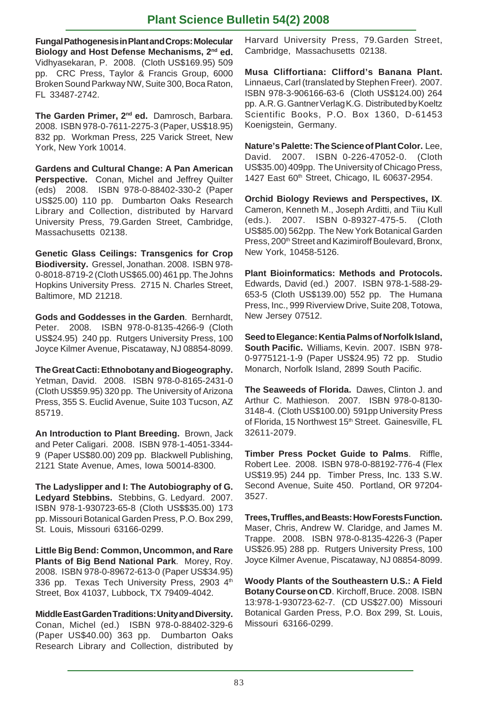# **Plant Science Bulletin 54(2) 2008**

**Fungal Pathogenesis in Plant and Crops: Molecular Biology and Host Defense Mechanisms, 2nd ed.** Vidhyasekaran, P. 2008. (Cloth US\$169.95) 509 pp. CRC Press, Taylor & Francis Group, 6000 Broken Sound Parkway NW, Suite 300, Boca Raton, FL 33487-2742.

**The Garden Primer, 2nd ed.** Damrosch, Barbara. 2008. ISBN 978-0-7611-2275-3 (Paper, US\$18.95) 832 pp. Workman Press, 225 Varick Street, New York, New York 10014.

**Gardens and Cultural Change: A Pan American Perspective.** Conan, Michel and Jeffrey Quilter (eds) 2008. ISBN 978-0-88402-330-2 (Paper US\$25.00) 110 pp. Dumbarton Oaks Research Library and Collection, distributed by Harvard University Press, 79.Garden Street, Cambridge, Massachusetts 02138.

**Genetic Glass Ceilings: Transgenics for Crop Biodiversity.** Gressel, Jonathan. 2008. ISBN 978- 0-8018-8719-2 (Cloth US\$65.00) 461 pp. The Johns Hopkins University Press. 2715 N. Charles Street, Baltimore, MD 21218.

**Gods and Goddesses in the Garden**. Bernhardt, Peter. 2008. ISBN 978-0-8135-4266-9 (Cloth US\$24.95) 240 pp. Rutgers University Press, 100 Joyce Kilmer Avenue, Piscataway, NJ 08854-8099.

**The Great Cacti: Ethnobotany and Biogeography.** Yetman, David. 2008. ISBN 978-0-8165-2431-0 (Cloth US\$59.95) 320 pp. The University of Arizona Press, 355 S. Euclid Avenue, Suite 103 Tucson, AZ 85719.

**An Introduction to Plant Breeding.** Brown, Jack and Peter Caligari. 2008. ISBN 978-1-4051-3344- 9 (Paper US\$80.00) 209 pp. Blackwell Publishing, 2121 State Avenue, Ames, Iowa 50014-8300.

**The Ladyslipper and I: The Autobiography of G. Ledyard Stebbins.** Stebbins, G. Ledyard. 2007. ISBN 978-1-930723-65-8 (Cloth US\$\$35.00) 173 pp. Missouri Botanical Garden Press, P.O. Box 299, St. Louis, Missouri 63166-0299.

**Little Big Bend: Common, Uncommon, and Rare Plants of Big Bend National Park**. Morey, Roy. 2008. ISBN 978-0-89672-613-0 (Paper US\$34.95) 336 pp. Texas Tech University Press, 2903 4th Street, Box 41037, Lubbock, TX 79409-4042.

**Middle East Garden Traditions: Unity and Diversity.** Conan, Michel (ed.) ISBN 978-0-88402-329-6 (Paper US\$40.00) 363 pp. Dumbarton Oaks Research Library and Collection, distributed by Harvard University Press, 79.Garden Street, Cambridge, Massachusetts 02138.

**Musa Cliffortiana: Clifford's Banana Plant.** Linnaeus, Carl (translated by Stephen Freer). 2007. ISBN 978-3-906166-63-6 (Cloth US\$124.00) 264 pp. A.R. G. Gantner Verlag K.G. Distributed by Koeltz Scientific Books, P.O. Box 1360, D-61453 Koenigstein, Germany.

**Nature's Palette: The Science of Plant Color.** Lee, David. 2007. ISBN 0-226-47052-0. (Cloth US\$35.00) 409pp. The University of Chicago Press, 1427 East 60<sup>th</sup> Street, Chicago, IL 60637-2954.

**Orchid Biology Reviews and Perspectives, IX**. Cameron, Kenneth M., Joseph Arditti, and Tiiu Kull (eds.). 2007. ISBN 0-89327-475-5. (Cloth US\$85.00) 562pp. The New York Botanical Garden Press, 200<sup>th</sup> Street and Kazimiroff Boulevard, Bronx, New York, 10458-5126.

**Plant Bioinformatics: Methods and Protocols.** Edwards, David (ed.) 2007. ISBN 978-1-588-29- 653-5 (Cloth US\$139.00) 552 pp. The Humana Press, Inc., 999 Riverview Drive, Suite 208, Totowa, New Jersey 07512.

**Seed to Elegance: Kentia Palms of Norfolk Island, South Pacific.** Williams, Kevin. 2007. ISBN 978- 0-9775121-1-9 (Paper US\$24.95) 72 pp. Studio Monarch, Norfolk Island, 2899 South Pacific.

**The Seaweeds of Florida.** Dawes, Clinton J. and Arthur C. Mathieson. 2007. ISBN 978-0-8130- 3148-4. (Cloth US\$100.00) 591pp University Press of Florida, 15 Northwest 15<sup>th</sup> Street. Gainesville, FL 32611-2079.

**Timber Press Pocket Guide to Palms**. Riffle, Robert Lee. 2008. ISBN 978-0-88192-776-4 (Flex US\$19.95) 244 pp. Timber Press, Inc. 133 S.W. Second Avenue, Suite 450. Portland, OR 97204- 3527.

**Trees, Truffles, and Beasts: How Forests Function.** Maser, Chris, Andrew W. Claridge, and James M. Trappe. 2008. ISBN 978-0-8135-4226-3 (Paper US\$26.95) 288 pp. Rutgers University Press, 100 Joyce Kilmer Avenue, Piscataway, NJ 08854-8099.

**Woody Plants of the Southeastern U.S.: A Field Botany Course on CD**. Kirchoff, Bruce. 2008. ISBN 13:978-1-930723-62-7. (CD US\$27.00) Missouri Botanical Garden Press, P.O. Box 299, St. Louis, Missouri 63166-0299.